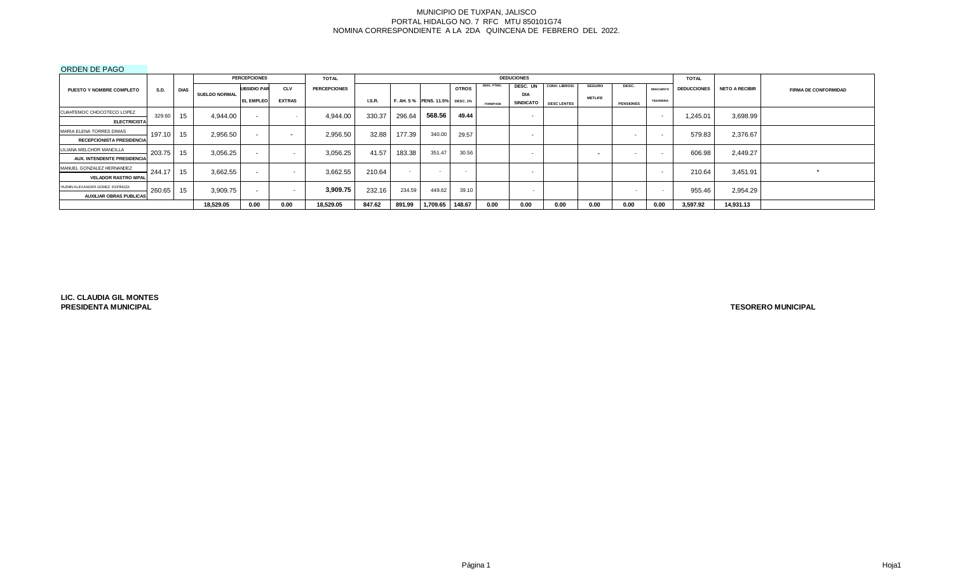# ORDEN DE PAGO

|                                    |             |             |                      | <b>PERCEPCIONES</b> |                          | <b>TOTAL</b>        |        |        |                                 |              |             | <b>DEDUCIONES</b>              |                    |                          |                  |                  | <b>TOTAL</b>       |                       |                             |
|------------------------------------|-------------|-------------|----------------------|---------------------|--------------------------|---------------------|--------|--------|---------------------------------|--------------|-------------|--------------------------------|--------------------|--------------------------|------------------|------------------|--------------------|-----------------------|-----------------------------|
| <b>PUESTO Y NOMBRE COMPLETO</b>    | <b>S.D.</b> | <b>DIAS</b> |                      | <b>UBSIDIO PAR</b>  | <b>CLV</b>               | <b>PERCEPCIONES</b> |        |        |                                 | <b>OTROS</b> | DESC. PTMO. | DESC. UN                       | CONV. LIBROS/      | <b>SEGURO</b>            | DESC.            | <b>DESCUENTO</b> | <b>DEDUCCIONES</b> | <b>NETO A RECIBIR</b> | <b>FIRMA DE CONFORMIDAD</b> |
|                                    |             |             | <b>SUELDO NORMAL</b> | <b>EL EMPLEO</b>    | <b>EXTRAS</b>            |                     | I.S.R. |        | F. AH. 5 % PENS. 11.5% DESC. 1% |              | FOMEPADE    | <b>DIA</b><br><b>SINDICATO</b> | <b>DESC LENTES</b> | <b>METLIFE</b>           | <b>PENSIONES</b> | <b>TESORERIA</b> |                    |                       |                             |
| CUAHTEMOC CHOCOTECO LOPEZ          | 329.60      | 15          | 4.944.00             | $\sim$              |                          | 4,944.00            | 330.37 | 296.64 | 568.56                          | 49.44        |             | $\overline{\phantom{0}}$       |                    |                          |                  |                  | 1.245.01           | 3,698.99              |                             |
| <b>ELECTRICISTA</b>                |             |             |                      |                     |                          |                     |        |        |                                 |              |             |                                |                    |                          |                  |                  |                    |                       |                             |
| MARIA ELENA TORRES DIMAS           | 197.10      | 15          | 2,956.50             | $\sim$              | $\overline{\phantom{a}}$ | 2,956.50            | 32.88  | 177.39 | 340.00                          | 29.57        |             | $\overline{\phantom{0}}$       |                    |                          |                  |                  | 579.83             | 2,376.67              |                             |
| <b>RECEPCIONISTA PRESIDENCIA</b>   |             |             |                      |                     |                          |                     |        |        |                                 |              |             |                                |                    |                          |                  |                  |                    |                       |                             |
| LILIANA MELCHOR MANCILLA           | 203.75      | 15          | 3.056.25             | $\sim$              | $\overline{\phantom{a}}$ | 3.056.25            | 41.57  | 183.38 | 351.47                          | 30.56        |             | $\overline{\phantom{0}}$       |                    | $\overline{\phantom{a}}$ |                  | $\sim$           | 606.98             | 2,449.27              |                             |
| <b>AUX. INTENDENTE PRESIDENCIA</b> |             |             |                      |                     |                          |                     |        |        |                                 |              |             |                                |                    |                          |                  |                  |                    |                       |                             |
| MANUEL GONZALEZ HERNANDEZ          | 244.17      | - 15        | 3.662.55             | $\sim$              | $\overline{\phantom{a}}$ | 3.662.55            | 210.64 |        | $\sim$                          | $\sim$       |             | $\overline{\phantom{0}}$       |                    |                          |                  |                  | 210.64             | 3,451.91              |                             |
| <b>VELADOR RASTRO MPAL</b>         |             |             |                      |                     |                          |                     |        |        |                                 |              |             |                                |                    |                          |                  |                  |                    |                       |                             |
| YAZMIN ALEXANDER GOMEZ ESPINOZA    | 260.65 15   |             | 3,909.75             | $\sim$              | $\overline{\phantom{0}}$ | 3.909.75            | 232.16 | 234.59 | 449.62                          | 39.10        |             | . .                            |                    |                          | $\sim$           |                  | 955.46             | 2,954.29              |                             |
| <b>AUXILIAR OBRAS PUBLICAS</b>     |             |             |                      |                     |                          |                     |        |        |                                 |              |             |                                |                    |                          |                  |                  |                    |                       |                             |
|                                    |             |             | 18,529.05            | 0.00                | 0.00                     | 18,529.05           | 847.62 | 891.99 | 1,709.65                        | 148.67       | 0.00        | 0.00                           | 0.00               | 0.00                     | 0.00             | 0.00             | 3,597.92           | 14,931.13             |                             |

**LIC. CLAUDIA GIL MONTES PRESIDENTA MUNICIPAL**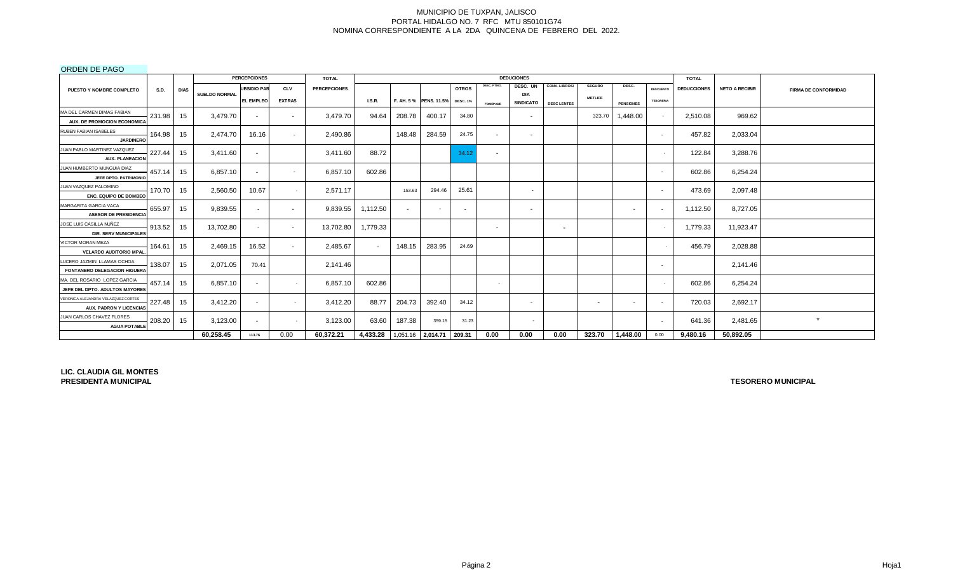# ORDEN DE PAGO

|                                                                       |             |             |                      | <b>PERCEPCIONES</b> |                          | <b>TOTAL</b>        |                                         |        |                        |                 |                 | <b>DEDUCIONES</b>        |                          |                          |                          |                          | <b>TOTAL</b>       |                       |                             |
|-----------------------------------------------------------------------|-------------|-------------|----------------------|---------------------|--------------------------|---------------------|-----------------------------------------|--------|------------------------|-----------------|-----------------|--------------------------|--------------------------|--------------------------|--------------------------|--------------------------|--------------------|-----------------------|-----------------------------|
| <b>PUESTO Y NOMBRE COMPLETO</b>                                       | <b>S.D.</b> | <b>DIAS</b> |                      | <b>UBSIDIO PAR</b>  | <b>CLV</b>               | <b>PERCEPCIONES</b> |                                         |        |                        | <b>OTROS</b>    | DESC. PTMO.     | DESC. UN                 | CONV. LIBROS/            | <b>SEGURO</b>            | DESC.                    | <b>DESCUENTO</b>         | <b>DEDUCCIONES</b> | <b>NETO A RECIBIR</b> | <b>FIRMA DE CONFORMIDAD</b> |
|                                                                       |             |             | <b>SUELDO NORMAL</b> | <b>EL EMPLEO</b>    | <b>EXTRAS</b>            |                     | LS.R.                                   |        | F. AH. 5 % PENS. 11.5% | <b>DESC. 1%</b> | <b>FOMEPADE</b> | DIA<br>SINDICATO         | <b>DESC LENTES</b>       | <b>METLIFE</b>           | <b>PENSIONES</b>         | <b>TESORERIA</b>         |                    |                       |                             |
| MA DEL CARMEN DIMAS FABIAN                                            |             |             |                      |                     |                          |                     |                                         |        |                        |                 |                 |                          |                          |                          |                          |                          |                    |                       |                             |
| AUX. DE PROMOCION ECONOMICA                                           | 231.98      | 15          | 3,479.70             | $\sim$              | $\sim$                   | 3,479.70            | 94.64                                   | 208.78 | 400.17                 | 34.80           |                 | $\sim$                   |                          | 323.70                   | 1,448.00                 |                          | 2,510.08           | 969.62                |                             |
| RUBEN FABIAN ISABELES                                                 |             |             |                      |                     |                          |                     |                                         |        |                        |                 |                 |                          |                          |                          |                          |                          |                    |                       |                             |
| <b>JARDINERO</b>                                                      | 164.98      | 15          | 2,474.70             | 16.16               | $\sim$                   | 2,490.86            |                                         | 148.48 | 284.59                 | 24.75           | $\sim$          | $\overline{\phantom{a}}$ |                          |                          |                          | $\overline{\phantom{a}}$ | 457.82             | 2,033.04              |                             |
| JUAN PABLO MARTINEZ VAZQUEZ                                           |             |             |                      |                     |                          |                     |                                         |        |                        |                 |                 |                          |                          |                          |                          |                          |                    |                       |                             |
| <b>AUX. PLANEACION</b>                                                | 227.44      | 15          | 3.411.60             | $\sim$              |                          | 3.411.60            | 88.72                                   |        |                        | 34.12           | $\sim$          |                          |                          |                          |                          |                          | 122.84             | 3,288.76              |                             |
| <b>JUAN HUMBERTO MUNGUIA DIAZ</b>                                     | 457.14      | 15          | 6,857.10             | $\sim$              | $\overline{\phantom{a}}$ | 6,857.10            | 602.86                                  |        |                        |                 |                 |                          |                          |                          |                          | $\overline{\phantom{a}}$ | 602.86             | 6,254.24              |                             |
| JEFE DPTO. PATRIMONIC                                                 |             |             |                      |                     |                          |                     |                                         |        |                        |                 |                 |                          |                          |                          |                          |                          |                    |                       |                             |
| JUAN VAZQUEZ PALOMINO                                                 | 170.70      | 15          | 2,560.50             | 10.67               |                          | 2,571.17            |                                         | 153.63 | 294.46                 | 25.61           |                 | $\overline{\phantom{a}}$ |                          |                          |                          | $\sim$                   | 473.69             | 2,097.48              |                             |
| <b>ENC. EQUIPO DE BOMBEO</b>                                          |             |             |                      |                     |                          |                     |                                         |        |                        |                 |                 |                          |                          |                          |                          |                          |                    |                       |                             |
| MARGARITA GARCIA VACA                                                 | 655.97      | 15          | 9,839.55             | $\sim$              | $\sim$                   | 9,839.55            | 1,112.50                                | $\sim$ |                        | $\sim$          |                 | $\sim$                   |                          |                          | $\overline{\phantom{a}}$ | $\sim$                   | 1,112.50           | 8,727.05              |                             |
| <b>ASESOR DE PRESIDENCIA</b>                                          |             |             |                      |                     |                          |                     |                                         |        |                        |                 |                 |                          |                          |                          |                          |                          |                    |                       |                             |
| JOSE LUIS CASILLA NUÑEZ                                               | 913.52      | 15          | 13,702.80            | $\sim$              | $\sim$                   | 13,702.80           | 1,779.33                                |        |                        |                 | $\sim$          |                          | $\overline{\phantom{a}}$ |                          |                          |                          | 1,779.33           | 11,923.47             |                             |
| <b>DIR. SERV MUNICIPALES</b>                                          |             |             |                      |                     |                          |                     |                                         |        |                        |                 |                 |                          |                          |                          |                          |                          |                    |                       |                             |
| VICTOR MORAN MEZA                                                     | 164.61      | 15          | 2,469.15             | 16.52               | $\sim$                   | 2,485.67            | $\sim$                                  | 148.15 | 283.95                 | 24.69           |                 |                          |                          |                          |                          |                          | 456.79             | 2,028.88              |                             |
| <b>VELARDO AUDITORIO MPAL</b>                                         |             |             |                      |                     |                          |                     |                                         |        |                        |                 |                 |                          |                          |                          |                          |                          |                    |                       |                             |
| LUCERO JAZMIN LLAMAS OCHOA                                            | 138.07      | 15          | 2,071.05             | 70.41               |                          | 2.141.46            |                                         |        |                        |                 |                 |                          |                          |                          |                          | $\overline{\phantom{0}}$ |                    | 2,141.46              |                             |
| FONTANERO DELEGACION HIGUERA                                          |             |             |                      |                     |                          |                     |                                         |        |                        |                 |                 |                          |                          |                          |                          |                          |                    |                       |                             |
| MA. DEL ROSARIO LOPEZ GARCIA                                          | 457.14      | 15          | 6.857.10             | $\sim$              |                          | 6,857.10            | 602.86                                  |        |                        |                 | $\sim$          |                          |                          |                          |                          |                          | 602.86             | 6,254.24              |                             |
| JEFE DEL DPTO. ADULTOS MAYORES                                        |             |             |                      |                     |                          |                     |                                         |        |                        |                 |                 |                          |                          |                          |                          |                          |                    |                       |                             |
| VERONICA ALEJANDRA VELAZQUEZ CORTES<br><b>AUX. PADRON Y LICENCIAS</b> | 227.48      | 15          | 3,412.20             | $\sim$              | $\sim$                   | 3,412.20            | 88.77                                   | 204.73 | 392.40                 | 34.12           |                 | $\sim$                   |                          | $\overline{\phantom{0}}$ | $\overline{\phantom{a}}$ | $\sim$                   | 720.03             | 2,692.17              |                             |
| JUAN CARLOS CHAVEZ FLORES                                             |             |             |                      |                     |                          |                     |                                         |        |                        |                 |                 |                          |                          |                          |                          |                          |                    |                       |                             |
| <b>AGUA POTABLE</b>                                                   | 208.20      | 15          | 3,123.00             | $\sim$              |                          | 3,123.00            | 63.60                                   | 187.38 | 359.15                 | 31.23           |                 | $\sim$                   |                          |                          |                          | $\overline{\phantom{0}}$ | 641.36             | 2,481.65              | $\star$                     |
|                                                                       |             |             | 60.258.45            | 113.76              | 0.00                     | 60,372.21           | 4,433.28   1,051.16   2,014.71   209.31 |        |                        |                 | 0.00            | 0.00                     | 0.00                     | 323.70                   | 1,448.00                 | 0.00                     | 9,480.16           | 50,892.05             |                             |

**LIC. CLAUDIA GIL MONTES PRESIDENTA MUNICIPAL**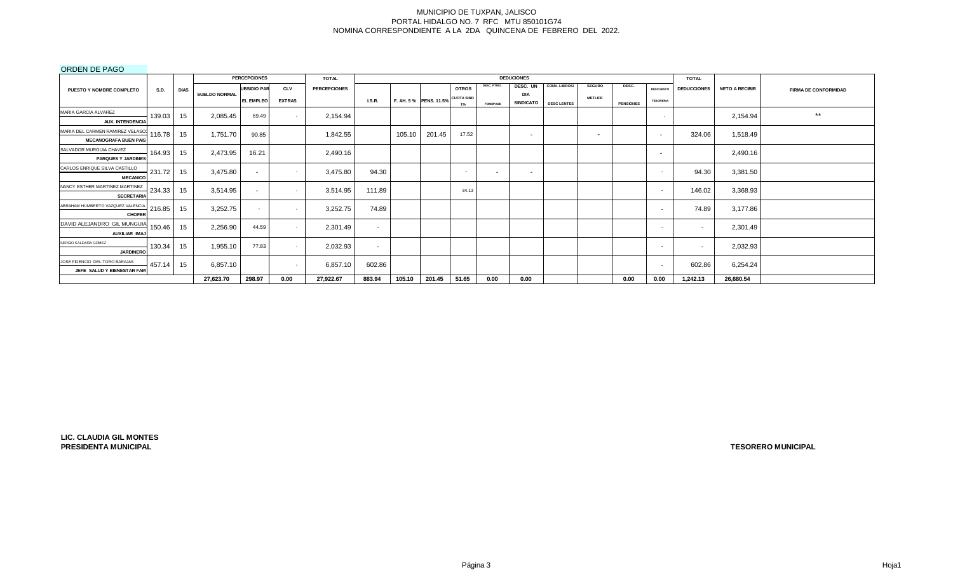# ORDEN DE PAGO

|                                   |        |             |                      | <b>PERCEPCIONES</b> |               | <b>TOTAL</b>        |               |        |                                   |                          |                 | <b>DEDUCIONES</b>       |                   |                          |                  |                          | <b>TOTAL</b>       |                       |                             |
|-----------------------------------|--------|-------------|----------------------|---------------------|---------------|---------------------|---------------|--------|-----------------------------------|--------------------------|-----------------|-------------------------|-------------------|--------------------------|------------------|--------------------------|--------------------|-----------------------|-----------------------------|
| <b>PUESTO Y NOMBRE COMPLETO</b>   | S.D.   | <b>DIAS</b> |                      | <b>UBSIDIO PAR</b>  | <b>CLV</b>    | <b>PERCEPCIONES</b> |               |        |                                   | <b>OTROS</b>             | DESC. PTMO.     | DESC. UN                | CONV. LIBROS/     | <b>SEGURO</b>            | DESC.            | <b>DESCUENTO</b>         | <b>DEDUCCIONES</b> | <b>NETO A RECIBIR</b> | <b>FIRMA DE CONFORMIDAD</b> |
|                                   |        |             | <b>SUELDO NORMAL</b> | <b>EL EMPLEO</b>    | <b>EXTRAS</b> |                     | <b>I.S.R.</b> |        | F. AH. 5 % PENS. 11.5% CUOTA SIND | $1\%$                    | <b>FOMEPADE</b> | DIA<br><b>SINDICATO</b> | <b>DESCLENTES</b> | <b>METLIFE</b>           | <b>PENSIONES</b> | <b>TESORERIA</b>         |                    |                       |                             |
| MARIA GARCIA ALVAREZ              | 139.03 | 15          | 2,085.45             | 69.49               | $\sim$        | 2,154.94            |               |        |                                   |                          |                 |                         |                   |                          |                  | $\sim$                   |                    | 2,154.94              | $***$                       |
| <b>AUX. INTENDENCIA</b>           |        |             |                      |                     |               |                     |               |        |                                   |                          |                 |                         |                   |                          |                  |                          |                    |                       |                             |
| MARIA DEL CARMEN RAMIREZ VELASCO  | 116.78 | 15          | 1,751.70             | 90.85               |               | 1,842.55            |               | 105.10 | 201.45                            | 17.52                    |                 | $\sim$                  |                   | $\overline{\phantom{a}}$ |                  | $\sim$                   | 324.06             | 1,518.49              |                             |
| <b>MECANOGRAFA BUEN PAIS</b>      |        |             |                      |                     |               |                     |               |        |                                   |                          |                 |                         |                   |                          |                  |                          |                    |                       |                             |
| SALVADOR MURGUIA CHAVEZ           | 164.93 | 15          | 2,473.95             | 16.21               |               | 2,490.16            |               |        |                                   |                          |                 |                         |                   |                          |                  | $\sim$                   |                    | 2,490.16              |                             |
| PARQUES Y JARDINES                |        |             |                      |                     |               |                     |               |        |                                   |                          |                 |                         |                   |                          |                  |                          |                    |                       |                             |
| CARLOS ENRIQUE SILVA CASTILLO     | 231.72 | 15          | 3,475.80             | $\sim$              |               | 3,475.80            | 94.30         |        |                                   | $\overline{\phantom{a}}$ | $\sim$          | $\sim$                  |                   |                          |                  | $\sim$                   | 94.30              | 3,381.50              |                             |
| <b>MECANICO</b>                   |        |             |                      |                     |               |                     |               |        |                                   |                          |                 |                         |                   |                          |                  |                          |                    |                       |                             |
| NANCY ESTHER MARTINEZ MARTINEZ    | 234.33 | 15          | 3,514.95             | $\sim$              |               | 3,514.95            | 111.89        |        |                                   | 34.13                    |                 |                         |                   |                          |                  | $\sim$                   | 146.02             | 3,368.93              |                             |
| <b>SECRETARIA</b>                 |        |             |                      |                     |               |                     |               |        |                                   |                          |                 |                         |                   |                          |                  |                          |                    |                       |                             |
| ABRAHAM HUMBERTO VAZQUEZ VALENCIA | 216.85 | 15          | 3,252.75             | $\sim$              | $\sim$        | 3,252.75            | 74.89         |        |                                   |                          |                 |                         |                   |                          |                  | $\sim$                   | 74.89              | 3,177.86              |                             |
| <b>CHOFER</b>                     |        |             |                      |                     |               |                     |               |        |                                   |                          |                 |                         |                   |                          |                  |                          |                    |                       |                             |
| DAVID ALEJANDRO GIL MUNGUIA       | 150.46 | 15          | 2,256.90             | 44.59               |               | 2,301.49            | $\sim$        |        |                                   |                          |                 |                         |                   |                          |                  | $\overline{\phantom{0}}$ |                    | 2,301.49              |                             |
| AUXILIAR IMA.                     |        |             |                      |                     |               |                     |               |        |                                   |                          |                 |                         |                   |                          |                  |                          |                    |                       |                             |
| SERGIO SALDAÑA GOMEZ              | 130.34 | 15          | 1,955.10             | 77.83               | $\sim$        | 2,032.93            | $\sim$        |        |                                   |                          |                 |                         |                   |                          |                  | $\overline{\phantom{0}}$ | $\sim$             | 2,032.93              |                             |
| <b>JARDINERO</b>                  |        |             |                      |                     |               |                     |               |        |                                   |                          |                 |                         |                   |                          |                  |                          |                    |                       |                             |
| JOSE FIDENCIO DEL TORO BARAJAS    | 457.14 | 15          | 6,857.10             |                     | $\sim$        | 6,857.10            | 602.86        |        |                                   |                          |                 |                         |                   |                          |                  | $\sim$                   | 602.86             | 6,254.24              |                             |
| JEFE SALUD Y BIENESTAR FAM        |        |             |                      |                     |               |                     |               |        |                                   |                          |                 |                         |                   |                          |                  |                          |                    |                       |                             |
|                                   |        |             | 27,623.70            | 298.97              | 0.00          | 27,922.67           | 883.94        | 105.10 | 201.45                            | 51.65                    | 0.00            | 0.00                    |                   |                          | 0.00             | 0.00                     | 1,242.13           | 26,680.54             |                             |

**LIC. CLAUDIA GIL MONTES PRESIDENTA MUNICIPAL**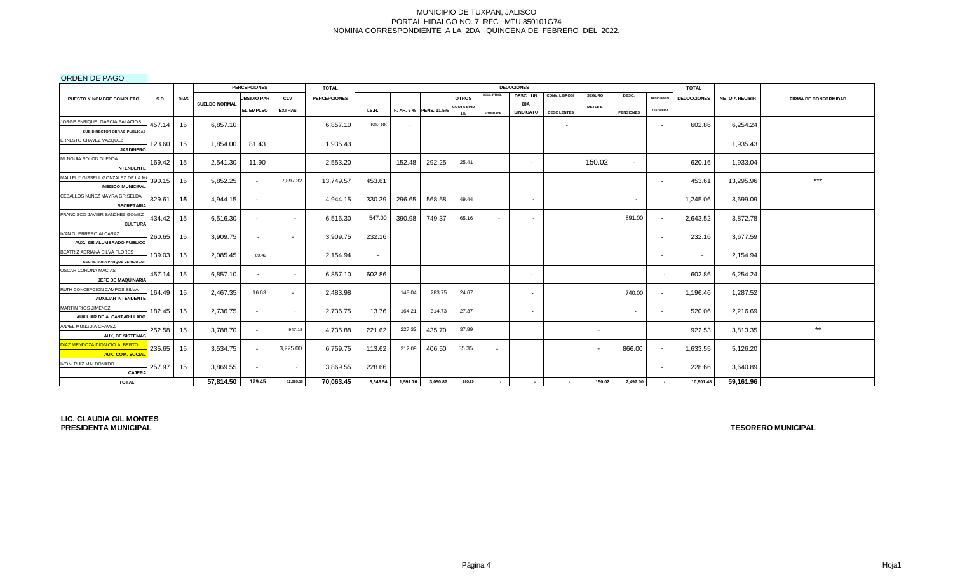ORDEN DE PAGO

|                                                             |             |             |                      | <b>PERCEPCIONES</b> |               | <b>TOTAL</b>        |          |          |                       |                   |                 | <b>DEDUCIONES</b>              |                    |                          |                  |                          | <b>TOTAL</b>       |                       |                             |
|-------------------------------------------------------------|-------------|-------------|----------------------|---------------------|---------------|---------------------|----------|----------|-----------------------|-------------------|-----------------|--------------------------------|--------------------|--------------------------|------------------|--------------------------|--------------------|-----------------------|-----------------------------|
| PUESTO Y NOMBRE COMPLETO                                    | <b>S.D.</b> | <b>DIAS</b> |                      | <b>JBSIDIO PAR</b>  | <b>CLV</b>    | <b>PERCEPCIONES</b> |          |          |                       | <b>OTROS</b>      | DESC. PTMO.     | DESC. UN                       | CONV. LIBROS/      | <b>SEGURO</b>            | DESC.            | <b>DESCUENTO</b>         | <b>DEDUCCIONES</b> | <b>NETO A RECIBIR</b> | <b>FIRMA DE CONFORMIDAD</b> |
|                                                             |             |             | <b>SUELDO NORMAL</b> | <b>EL EMPLEO</b>    | <b>EXTRAS</b> |                     | LS.R.    |          | F. AH. 5% PENS. 11.5% | <b>CUOTA SIND</b> | <b>FOMEPADE</b> | <b>DIA</b><br><b>SINDICATO</b> | <b>DESC LENTES</b> | <b>METLIFE</b>           | <b>PENSIONES</b> | <b>TESORERIA</b>         |                    |                       |                             |
| JORGE ENRIQUE GARCIA PALACIOS                               |             |             |                      |                     |               |                     |          |          |                       | $1\%$             |                 |                                |                    |                          |                  |                          |                    |                       |                             |
| SUB-DIRECTOR OBRAS PUBLICAS                                 | 457.14      | 15          | 6,857.10             |                     |               | 6,857.10            | 602.86   | $\sim$   |                       |                   |                 |                                | $\sim$             |                          |                  | $\sim$                   | 602.86             | 6,254.24              |                             |
| ERNESTO CHAVEZ VAZQUEZ                                      | 123.60      | 15          | 1,854.00             | 81.43               | $\sim$        | 1,935.43            |          |          |                       |                   |                 |                                |                    |                          |                  | $\overline{\phantom{a}}$ |                    | 1,935.43              |                             |
| <b>JARDINERO</b>                                            |             |             |                      |                     |               |                     |          |          |                       |                   |                 |                                |                    |                          |                  |                          |                    |                       |                             |
| MUNGUIA ROLON GLENDA                                        | 169.42      | 15          | 2,541.30             | 11.90               | $\sim$        | 2,553.20            |          | 152.48   | 292.25                | 25.41             |                 | $\sim$                         |                    | 150.02                   | $\sim$           | $\sim$                   | 620.16             | 1,933.04              |                             |
| <b>INTENDENTE</b>                                           |             |             |                      |                     |               |                     |          |          |                       |                   |                 |                                |                    |                          |                  |                          |                    |                       |                             |
| MALLELY GISSELL GONZALEZ DE LA M<br><b>MEDICO MUNICIPAL</b> | 390.15      | 15          | 5,852.25             | $\sim$              | 7,897.32      | 13,749.57           | 453.61   |          |                       |                   |                 |                                |                    |                          |                  | $\sim$                   | 453.61             | 13,295.96             | $***$                       |
| CEBALLOS NUÑEZ MAYRA GRISELDA                               | 329.61      | 15          | 4,944.15             | $\sim$              |               | 4,944.15            | 330.39   | 296.65   | 568.58                | 49.44             |                 | $\sim$                         |                    |                          | $\sim$           | $\overline{\phantom{a}}$ | 1,245.06           | 3,699.09              |                             |
| <b>SECRETARIA</b>                                           |             |             |                      |                     |               |                     |          |          |                       |                   |                 |                                |                    |                          |                  |                          |                    |                       |                             |
| FRANCISCO JAVIER SANCHEZ GOMEZ<br><b>CULTURA</b>            | 434.42      | 15          | 6,516.30             | $\sim$              | $\sim$        | 6,516.30            | 547.00   | 390.98   | 749.37                | 65.16             |                 |                                |                    |                          | 891.00           |                          | 2,643.52           | 3,872.78              |                             |
| IVAN GUERRERO ALCARAZ                                       | 260.65      | 15          | 3,909.75             | $\sim$              | $\sim$        | 3,909.75            | 232.16   |          |                       |                   |                 |                                |                    |                          |                  | $\overline{\phantom{a}}$ | 232.16             | 3,677.59              |                             |
| AUX. DE ALUMBRADO PUBLICO                                   |             |             |                      |                     |               |                     |          |          |                       |                   |                 |                                |                    |                          |                  |                          |                    |                       |                             |
| BEATRIZ ADRIANA SILVA FLORES<br>SECRETARIA PARQUE VEHICULAR | 139.03      | 15          | 2,085.45             | 69.49               |               | 2,154.94            | $\sim$   |          |                       |                   |                 |                                |                    |                          |                  | $\overline{a}$           | $\sim$             | 2,154.94              |                             |
| OSCAR CORONA MACIAS                                         |             |             |                      |                     |               |                     |          |          |                       |                   |                 |                                |                    |                          |                  |                          |                    |                       |                             |
| JEFE DE MAQUINARIA                                          | 457.14      | $\vert$ 15  | 6,857.10             | $\sim$              | $\sim$        | 6,857.10            | 602.86   |          |                       |                   |                 | $\sim$                         |                    |                          |                  |                          | 602.86             | 6,254.24              |                             |
| RUTH CONCEPCION CAMPOS SILVA                                | 164.49      | 15          | 2,467.35             | 16.63               | $\sim$        | 2,483.98            |          | 148.04   | 283.75                | 24.67             |                 | $\overline{\phantom{a}}$       |                    |                          | 740.00           |                          | 1,196.46           | 1,287.52              |                             |
| <b>AUXILIAR INTENDENTE</b>                                  |             |             |                      |                     |               |                     |          |          |                       |                   |                 |                                |                    |                          |                  |                          |                    |                       |                             |
| MARTIN RIOS JIMENEZ                                         | 182.45      | 15          | 2,736.75             | $\sim$              | $\sim$        | 2,736.75            | 13.76    | 164.21   | 314.73                | 27.37             |                 | $\sim$                         |                    |                          | $\sim$           | $\overline{\phantom{a}}$ | 520.06             | 2,216.69              |                             |
| AUXILIAR DE ALCANTARILLADO<br>ANAEL MUNGUIA CHAVEZ          |             |             |                      |                     |               |                     |          |          |                       |                   |                 |                                |                    |                          |                  |                          |                    |                       |                             |
| <b>AUX, DE SISTEMAS</b>                                     | 252.58      | 15          | 3,788.70             | $\sim$              | 947.18        | 4,735.88            | 221.62   | 227.32   | 435.70                | 37.89             |                 |                                |                    | $\overline{\phantom{0}}$ |                  | $\overline{\phantom{0}}$ | 922.53             | 3,813.35              | $***$                       |
| DIAZ MENDOZA DIONICIO ALBERTO<br><b>AUX. COM. SOCIAL</b>    | 235.65      | 15          | 3,534.75             | $\sim$              | 3,225.00      | 6,759.75            | 113.62   | 212.09   | 406.50                | 35.35             | $\sim$          |                                |                    | $\sim$                   | 866.00           |                          | 1,633.55           | 5,126.20              |                             |
| IVON RUIZ MALDONADO<br>CAJERA                               | 257.97      | 15          | 3,869.55             | $\sim$              | $\sim$        | 3,869.55            | 228.66   |          |                       |                   |                 |                                |                    |                          |                  | $\overline{\phantom{a}}$ | 228.66             | 3,640.89              |                             |
| <b>TOTAL</b>                                                |             |             | 57,814.50            | 179.45              | 12,069.50     | 70,063.45           | 3,346.54 | 1,591.76 | 3,050.87              | 265.29            |                 |                                |                    | 150.02                   | 2,497.00         |                          | 10,901.48          | 59,161.96             |                             |

**LIC. CLAUDIA GIL MONTES PRESIDENTA MUNICIPAL**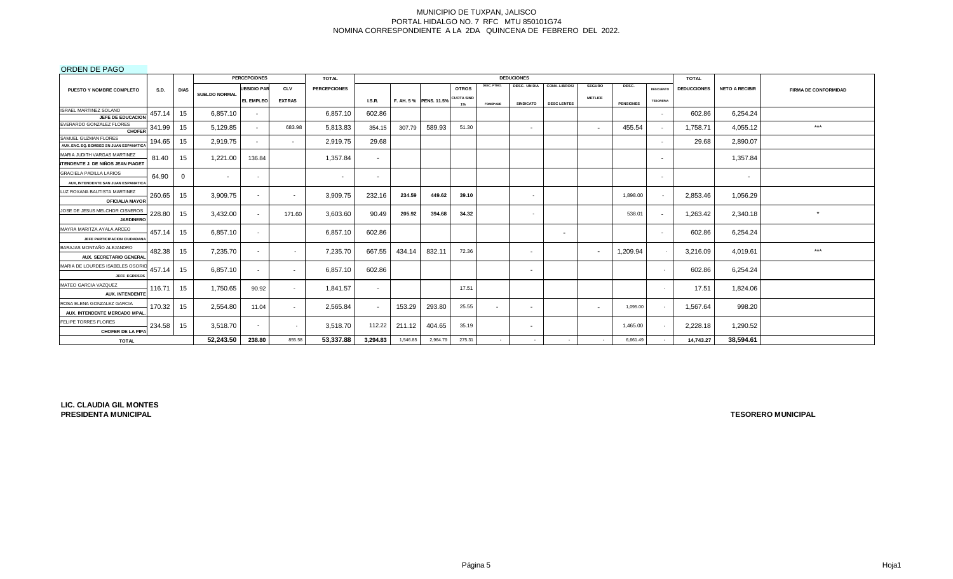# ORDEN DE PAGO

|                                                                       |             |             |                      | <b>PERCEPCIONES</b>      |                          | <b>TOTAL</b>        |                          |          |                       |                   |                 | <b>DEDUCIONES</b>        |                    |                          |                  |                          | <b>TOTAL</b>       |                       |                             |
|-----------------------------------------------------------------------|-------------|-------------|----------------------|--------------------------|--------------------------|---------------------|--------------------------|----------|-----------------------|-------------------|-----------------|--------------------------|--------------------|--------------------------|------------------|--------------------------|--------------------|-----------------------|-----------------------------|
| <b>PUESTO Y NOMBRE COMPLETO</b>                                       | <b>S.D.</b> | <b>DIAS</b> |                      | <b>UBSIDIO PAR</b>       | <b>CLV</b>               | <b>PERCEPCIONES</b> |                          |          |                       | <b>OTROS</b>      | DESC. PTMO.     | <b>DESC. UN DIA</b>      | CONV. LIBROS/      | <b>SEGURO</b>            | DESC.            | <b>DESCUENTO</b>         | <b>DEDUCCIONES</b> | <b>NETO A RECIBIR</b> | <b>FIRMA DE CONFORMIDAD</b> |
|                                                                       |             |             | <b>SUELDO NORMAL</b> | <b>EL EMPLEO</b>         | <b>EXTRAS</b>            |                     | <b>I.S.R.</b>            |          | F. AH. 5% PENS. 11.5% | <b>CUOTA SIND</b> | <b>FOMEPADE</b> | <b>SINDICATO</b>         | <b>DESC LENTES</b> | <b>METLIFE</b>           | <b>PENSIONES</b> | <b>TESORERIA</b>         |                    |                       |                             |
| ISRAEL MARTINEZ SOLANO<br>JEFE DE EDUCACION                           | 457.14      | 15          | 6,857.10             | $\sim$                   |                          | 6,857.10            | 602.86                   |          |                       |                   |                 |                          |                    |                          |                  | $\overline{\phantom{a}}$ | 602.86             | 6,254.24              |                             |
| EVERARDO GONZALEZ FLORES<br><b>CHOFER</b>                             | 341.99      | 15          | 5,129.85             |                          | 683.98                   | 5,813.83            | 354.15                   | 307.79   | 589.93                | 51.30             |                 | $\overline{\phantom{a}}$ |                    | $\overline{\phantom{0}}$ | 455.54           |                          | 1,758.71           | 4,055.12              | ***                         |
| SAMUEL GUZMAN FLORES<br>AUX. ENC. EQ. BOMBEO SN JUAN ESPANATIC/       | 194.65      | 15          | 2,919.75             | $\overline{\phantom{a}}$ | $\sim$                   | 2.919.75            | 29.68                    |          |                       |                   |                 |                          |                    |                          |                  |                          | 29.68              | 2,890.07              |                             |
| MARIA JUDITH VARGAS MARTINEZ                                          | 81.40       | 15          | 1,221.00             | 136.84                   |                          | 1,357.84            | $\sim$                   |          |                       |                   |                 |                          |                    |                          |                  | $\overline{\phantom{a}}$ |                    | 1,357.84              |                             |
| <b>ITENDENTE J. DE NIÑOS JEAN PIAGET</b>                              |             |             |                      |                          |                          |                     |                          |          |                       |                   |                 |                          |                    |                          |                  |                          |                    |                       |                             |
| <b>GRACIELA PADILLA LARIOS</b><br>AUX, INTENDENTE SAN JUAN ESPANATICA | 64.90       | $\mathbf 0$ | $\sim$               | $\overline{\phantom{a}}$ |                          | $\overline{a}$      | $\overline{\phantom{a}}$ |          |                       |                   |                 |                          |                    |                          |                  |                          |                    | $\sim$                |                             |
| LUZ ROXANA BAUTISTA MARTINEZ                                          | 260.65      | 15          | 3,909.75             | $\overline{\phantom{a}}$ | $\overline{\phantom{a}}$ | 3,909.75            | 232.16                   | 234.59   | 449.62                | 39.10             |                 | $\sim$                   |                    |                          | 1,898.00         |                          | 2,853.46           | 1,056.29              |                             |
| <b>OFICIALIA MAYOR</b>                                                |             |             |                      |                          |                          |                     |                          |          |                       |                   |                 |                          |                    |                          |                  |                          |                    |                       |                             |
| JOSE DE JESUS MELCHOR CISNEROS<br><b>JARDINERO</b>                    | 228.80      | 15          | 3,432.00             | $\overline{\phantom{a}}$ | 171.60                   | 3,603.60            | 90.49                    | 205.92   | 394.68                | 34.32             |                 | $\sim$                   |                    |                          | 538.01           |                          | 1,263.42           | 2,340.18              | $\star$                     |
| MAYRA MARITZA AYALA ARCEO<br>JEFE PARTICIPACION CIUDADANA             | 457.14      | 15          | 6,857.10             | $\sim$                   |                          | 6,857.10            | 602.86                   |          |                       |                   |                 |                          | $\sim$             |                          |                  |                          | 602.86             | 6,254.24              |                             |
| BARAJAS MONTAÑO ALEJANDRO<br>AUX. SECRETARIO GENERAL                  | 482.38      | 15          | 7,235.70             | $\sim$                   | $\sim$                   | 7,235.70            | 667.55                   | 434.14   | 832.11                | 72.36             |                 | $\sim$                   |                    |                          | 1,209.94         |                          | 3,216.09           | 4,019.61              | $***$                       |
| MARIA DE LOURDES ISABELES OSORI<br><b>JEFE EGRESOS</b>                | 457.14      | 15          | 6,857.10             | $\overline{a}$           | $\sim$                   | 6,857.10            | 602.86                   |          |                       |                   |                 | . .                      |                    |                          |                  |                          | 602.86             | 6,254.24              |                             |
| MATEO GARCIA VAZQUEZ<br><b>AUX. INTENDENTE</b>                        | 116.71      | 15          | 1,750.65             | 90.92                    | $\sim$                   | 1,841.57            | $\sim$                   |          |                       | 17.51             |                 |                          |                    |                          |                  |                          | 17.51              | 1,824.06              |                             |
| ROSA ELENA GONZALEZ GARCIA<br>AUX. INTENDENTE MERCADO MPAL            | 170.32      | 15          | 2,554.80             | 11.04                    | $\sim$                   | 2,565.84            |                          | 153.29   | 293.80                | 25.55             | $\sim$          |                          |                    | $\overline{\phantom{a}}$ | 1,095.00         |                          | 1,567.64           | 998.20                |                             |
| FELIPE TORRES FLORES<br><b>CHOFER DE LA PIPA</b>                      | 234.58      | 15          | 3,518.70             | $\sim$                   | $\sim$                   | 3,518.70            | 112.22                   | 211.12   | 404.65                | 35.19             |                 | . .                      |                    |                          | 1,465.00         |                          | 2,228.18           | 1,290.52              |                             |
| <b>TOTAL</b>                                                          |             |             | 52,243.50            | 238.80                   | 855.58                   | 53,337.88           | 3,294.83                 | 1,546.85 | 2,964.79              | 275.31            |                 |                          |                    |                          | 6,661.49         |                          | 14,743.27          | 38,594.61             |                             |

**LIC. CLAUDIA GIL MONTES PRESIDENTA MUNICIPAL**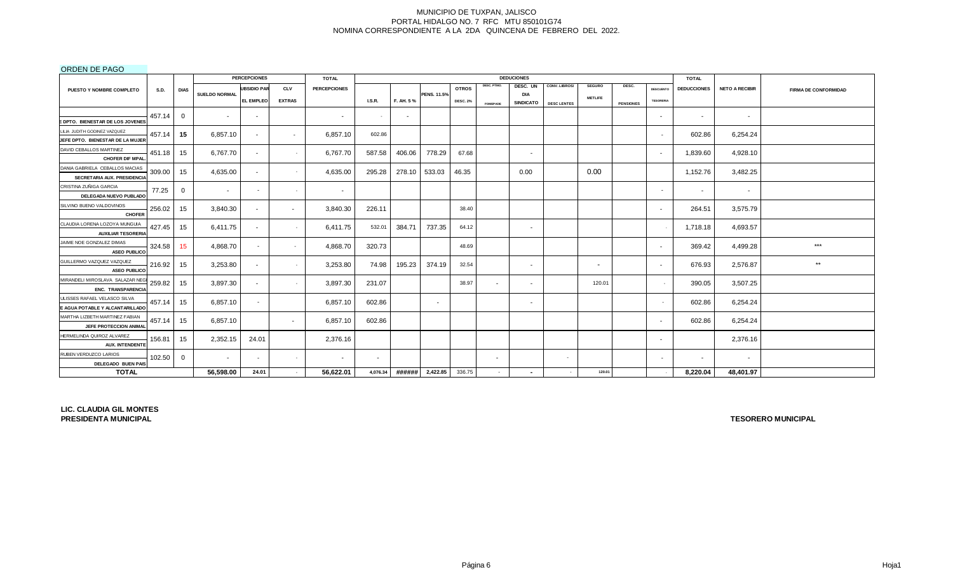# ORDEN DE PAGO

|                                                                  |             |                |                      | <b>PERCEPCIONES</b> |               | <b>TOTAL</b>        |          |           |                          |                 |                 | <b>DEDUCIONES</b>      |                    |                |                  |                          | <b>TOTAL</b>       |                       |                             |
|------------------------------------------------------------------|-------------|----------------|----------------------|---------------------|---------------|---------------------|----------|-----------|--------------------------|-----------------|-----------------|------------------------|--------------------|----------------|------------------|--------------------------|--------------------|-----------------------|-----------------------------|
| PUESTO Y NOMBRE COMPLETO                                         | <b>S.D.</b> | <b>DIAS</b>    | <b>SUELDO NORMAL</b> | <b>UBSIDIO PAR</b>  | <b>CLV</b>    | <b>PERCEPCIONES</b> |          |           | <b>PENS. 11.5%</b>       | <b>OTROS</b>    | DESC. PTMO.     | DESC. UN<br><b>DIA</b> | CONV. LIBROS/      | <b>SEGURO</b>  | DESC.            | <b>DESCUENTO</b>         | <b>DEDUCCIONES</b> | <b>NETO A RECIBIR</b> | <b>FIRMA DE CONFORMIDAD</b> |
|                                                                  |             |                |                      | <b>EL EMPLEO</b>    | <b>EXTRAS</b> |                     | I.S.R.   | F. AH. 5% |                          | <b>DESC. 2%</b> | <b>FOMEPADE</b> | <b>SINDICATO</b>       | <b>DESC LENTES</b> | <b>METLIFE</b> | <b>PENSIONES</b> | <b>TESORERIA</b>         |                    |                       |                             |
|                                                                  | 457.14      | $\Omega$       |                      | $\sim$              |               | $\sim$              |          | $\sim$    |                          |                 |                 |                        |                    |                |                  | $\sim$                   | $\sim$             | $\sim$                |                             |
| <b>EDPTO. BIENESTAR DE LOS JOVENES</b>                           |             |                |                      |                     |               |                     |          |           |                          |                 |                 |                        |                    |                |                  |                          |                    |                       |                             |
| LILIA JUDITH GODINEZ VAZQUEZ<br>JEFE DPTO. BIENESTAR DE LA MUJER | 457.14      | 15             | 6,857.10             | $\sim$              | $\sim$        | 6,857.10            | 602.86   |           |                          |                 |                 |                        |                    |                |                  | $\overline{\phantom{a}}$ | 602.86             | 6,254.24              |                             |
| DAVID CEBALLOS MARTINEZ<br>CHOFER DIF MPAL                       | 451.18      | 15             | 6,767.70             | $\sim$              | $\sim$        | 6,767.70            | 587.58   | 406.06    | 778.29                   | 67.68           |                 | $\sim$                 |                    |                |                  | $\overline{\phantom{a}}$ | 1,839.60           | 4,928.10              |                             |
| DANIA GABRIELA CEBALLOS MACIAS<br>SECRETARIA AUX. PRESIDENCIA    | 309.00      | 15             | 4,635.00             | $\sim$              | $\sim$        | 4,635.00            | 295.28   | 278.10    | 533.03                   | 46.35           |                 | 0.00                   |                    | 0.00           |                  |                          | 1,152.76           | 3,482.25              |                             |
| CRISTINA ZUÑIGA GARCIA<br>DELEGADA NUEVO PUBLADO                 | 77.25       | $\overline{0}$ | $\sim$               | $\sim$              | $\sim$        | $\sim$              |          |           |                          |                 |                 |                        |                    |                |                  | $\overline{\phantom{a}}$ | $\sim$             | $\sim$                |                             |
| SILVINO BUENO VALDOVINOS<br><b>CHOFER</b>                        | 256.02      | 15             | 3,840.30             | $\sim$              | $\sim$        | 3,840.30            | 226.11   |           |                          | 38.40           |                 |                        |                    |                |                  | $\overline{\phantom{a}}$ | 264.51             | 3,575.79              |                             |
| CLAUDIA LORENA LOZOYA MUNGUIA<br><b>AUXILIAR TESORERIA</b>       | 427.45      | 15             | 6.411.75             | $\sim$              | $\sim$        | 6,411.75            | 532.01   | 384.71    | 737.35                   | 64.12           |                 | $\sim$                 |                    |                |                  |                          | 1,718.18           | 4,693.57              |                             |
| JAIME NOE GONZALEZ DIMAS<br><b>ASEO PUBLICO</b>                  | 324.58      | 15             | 4,868.70             | $\sim$              | $\sim$        | 4,868.70            | 320.73   |           |                          | 48.69           |                 |                        |                    |                |                  | $\sim$                   | 369.42             | 4,499.28              | ***                         |
| GUILLERMO VAZQUEZ VAZQUEZ<br><b>ASEO PUBLICO</b>                 | 216.92      | 15             | 3,253.80             | $\sim$              | $\sim$        | 3,253.80            | 74.98    | 195.23    | 374.19                   | 32.54           |                 | $\sim$                 |                    | $\sim$         |                  | $\sim$                   | 676.93             | 2,576.87              | $\star\star$                |
| MIRANDELI MIROSLAVA SALAZAR NEG<br>ENC. TRANSPARENCIA            | 259.82      | 15             | 3,897.30             | $\sim$              | $\sim$        | 3,897.30            | 231.07   |           |                          | 38.97           |                 | $\sim$                 |                    | 120.01         |                  |                          | 390.05             | 3,507.25              |                             |
| ULISSES RAFAEL VELASCO SILVA<br>E AGUA POTABLE Y ALCANTARILLADO  | 457.14      | 15             | 6,857.10             | $\sim$              |               | 6,857.10            | 602.86   |           | $\overline{\phantom{a}}$ |                 |                 | $\sim$                 |                    |                |                  | $\sim$                   | 602.86             | 6,254.24              |                             |
| MARTHA LIZBETH MARTINEZ FABIAN<br>JEFE PROTECCION ANIMAL         | 457.14      | 15             | 6,857.10             |                     | $\sim$        | 6,857.10            | 602.86   |           |                          |                 |                 |                        |                    |                |                  | $\sim$                   | 602.86             | 6,254.24              |                             |
| HERMELINDA QUIROZ ALVAREZ<br>AUX. INTENDENTE                     | 156.81      | 15             | 2,352.15             | 24.01               |               | 2,376.16            |          |           |                          |                 |                 |                        |                    |                |                  | $\sim$                   |                    | 2,376.16              |                             |
| RUBEN VERDUZCO LARIOS<br>DELEGADO BUEN PAIS                      | 102.50      | $\mathbf{0}$   | $\sim$               | $\sim$              | $\sim$        | $\sim$              | $\sim$   |           |                          |                 | $\sim$          |                        | $\sim$             |                |                  | $\sim$                   | $\sim$             | $\sim$                |                             |
| <b>TOTAL</b>                                                     |             |                | 56,598.00            | 24.01               |               | 56,622.01           | 4,076.34 | ######    | 2,422.85                 | 336.75          | <b>COL</b>      | $\sim$                 |                    | 120.01         |                  |                          | 8,220.04           | 48,401.97             |                             |

**LIC. CLAUDIA GIL MONTES PRESIDENTA MUNICIPAL**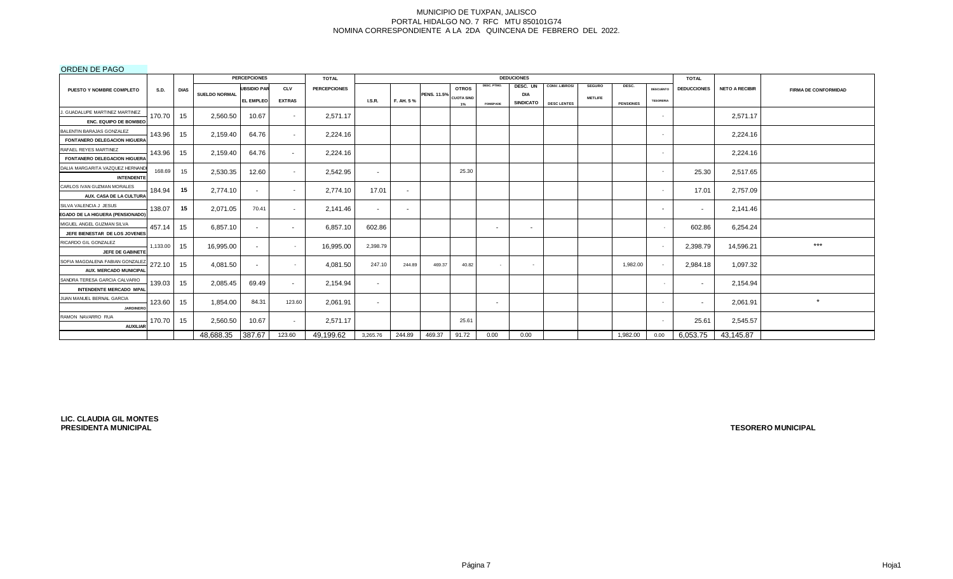# ORDEN DE PAGO

|                                     |             |                  |                      | <b>PERCEPCIONES</b> |                          | <b>TOTAL</b>        |               |           |                    |                   |                 | <b>DEDUCIONES</b>              |                    |                |                  |                  | <b>TOTAL</b>       |                       |                             |
|-------------------------------------|-------------|------------------|----------------------|---------------------|--------------------------|---------------------|---------------|-----------|--------------------|-------------------|-----------------|--------------------------------|--------------------|----------------|------------------|------------------|--------------------|-----------------------|-----------------------------|
| <b>PUESTO Y NOMBRE COMPLETO</b>     | <b>S.D.</b> | <b>DIAS</b>      |                      | <b>UBSIDIO PAR</b>  | <b>CLV</b>               | <b>PERCEPCIONES</b> |               |           |                    | <b>OTROS</b>      | DESC. PTMO.     | DESC. UN                       | CONV. LIBROS/      | <b>SEGURO</b>  | DESC.            | <b>DESCUENTO</b> | <b>DEDUCCIONES</b> | <b>NETO A RECIBIR</b> | <b>FIRMA DE CONFORMIDAD</b> |
|                                     |             |                  | <b>SUELDO NORMAL</b> | <b>EL EMPLEO</b>    | <b>EXTRAS</b>            |                     | <b>I.S.R.</b> | F. AH. 5% | <b>PENS. 11.5%</b> | <b>CUOTA SIND</b> |                 | <b>DIA</b><br><b>SINDICATO</b> | <b>DESC LENTES</b> | <b>METLIFE</b> | <b>PENSIONES</b> | <b>TESORERIA</b> |                    |                       |                             |
| J. GUADALUPE MARTINEZ MARTINEZ      |             |                  |                      |                     |                          |                     |               |           |                    | 1%                | <b>FOMEPADE</b> |                                |                    |                |                  |                  |                    |                       |                             |
| ENC. EQUIPO DE BOMBEO               | 170.70      | 15               | 2,560.50             | 10.67               |                          | 2,571.17            |               |           |                    |                   |                 |                                |                    |                |                  |                  |                    | 2,571.17              |                             |
| BALENTIN BARAJAS GONZALEZ           |             |                  |                      |                     |                          |                     |               |           |                    |                   |                 |                                |                    |                |                  |                  |                    |                       |                             |
| FONTANERO DELEGACION HIGUERA        | 143.96      | 15 <sub>1</sub>  | 2,159.40             | 64.76               | $\overline{\phantom{a}}$ | 2,224.16            |               |           |                    |                   |                 |                                |                    |                |                  | <b>1999</b>      |                    | 2,224.16              |                             |
| RAFAEL REYES MARTINEZ               |             |                  |                      |                     |                          |                     |               |           |                    |                   |                 |                                |                    |                |                  |                  |                    |                       |                             |
| <b>FONTANERO DELEGACION HIGUERA</b> | 143.96      | 15               | 2,159.40             | 64.76               | $\sim$                   | 2,224.16            |               |           |                    |                   |                 |                                |                    |                |                  | - 1              |                    | 2.224.16              |                             |
| DALIA MARGARITA VAZQUEZ HERNAND     |             |                  |                      |                     |                          |                     |               |           |                    |                   |                 |                                |                    |                |                  |                  |                    |                       |                             |
| <b>INTENDENTE</b>                   | 168.69      | 15               | 2,530.35             | 12.60               |                          | 2,542.95            | $\sim$        |           |                    | 25.30             |                 |                                |                    |                |                  | $\sim$           | 25.30              | 2,517.65              |                             |
| CARLOS IVAN GUZMAN MORALES          |             |                  |                      |                     |                          |                     |               |           |                    |                   |                 |                                |                    |                |                  |                  |                    |                       |                             |
| AUX. CASA DE LA CULTURA             | 184.94      | 15               | 2,774.10             |                     |                          | 2,774.10            | 17.01         | $\sim$    |                    |                   |                 |                                |                    |                |                  | <b>.</b>         | 17.01              | 2,757.09              |                             |
| SILVA VALENCIA J JESUS              |             |                  |                      |                     |                          |                     |               |           |                    |                   |                 |                                |                    |                |                  |                  |                    |                       |                             |
| EGADO DE LA HIGUERA (PENSIONADO)    | 138.07      | 15               | 2.071.05             | 70.41               |                          | 2,141.46            | $\sim$        | $\sim$    |                    |                   |                 |                                |                    |                |                  | $\blacksquare$   | $\sim$             | 2,141.46              |                             |
| MIGUEL ANGEL GUZMAN SILVA           |             |                  |                      |                     |                          |                     |               |           |                    |                   |                 |                                |                    |                |                  |                  |                    |                       |                             |
| JEFE BIENESTAR DE LOS JOVENES       | 457.14      | 15 <sup>15</sup> | 6.857.10             |                     | $\sim$                   | 6,857.10            | 602.86        |           |                    |                   | $\sim$          | $\sim$                         |                    |                |                  |                  | 602.86             | 6,254.24              |                             |
| RICARDO GIL GONZALEZ                | 1,133.00    |                  | 16,995.00            |                     |                          | 16,995.00           | 2,398.79      |           |                    |                   |                 |                                |                    |                |                  | <b>1999</b>      | 2,398.79           | 14,596.21             | $***$                       |
| JEFE DE GABINETE                    |             | 15               |                      |                     |                          |                     |               |           |                    |                   |                 |                                |                    |                |                  |                  |                    |                       |                             |
| SOFIA MAGDALENA FABIAN GONZALEZ     | 272.10      | 15               | 4.081.50             |                     |                          | 4,081.50            | 247.10        | 244.89    | 469.37             | 40.82             |                 | $\sim$                         |                    |                | 1,982.00         | <b>1999</b>      | 2,984.18           | 1,097.32              |                             |
| AUX. MERCADO MUNICIPAL              |             |                  |                      |                     |                          |                     |               |           |                    |                   |                 |                                |                    |                |                  |                  |                    |                       |                             |
| SANDRA TERESA GARCIA CALVARIO       | 139.03      | 15               | 2,085.45             | 69.49               | $\overline{\phantom{a}}$ | 2,154.94            | $\sim$        |           |                    |                   |                 |                                |                    |                |                  |                  | $\sim$             | 2,154.94              |                             |
| <b>INTENDENTE MERCADO MPAL</b>      |             |                  |                      |                     |                          |                     |               |           |                    |                   |                 |                                |                    |                |                  |                  |                    |                       |                             |
| JUAN MANUEL BERNAL GARCIA           | 123.60      | 15               | 1,854.00             | 84.31               | 123.60                   | 2,061.91            | $\sim$        |           |                    |                   | $\sim$          |                                |                    |                |                  | <b>.</b>         | $\sim$             | 2,061.91              | $\star$                     |
| <b>JARDINERC</b>                    |             |                  |                      |                     |                          |                     |               |           |                    |                   |                 |                                |                    |                |                  |                  |                    |                       |                             |
| RAMON NAVARRO RUA                   | 170.70      | 15               | 2,560.50             | 10.67               | $\sim$                   | 2.571.17            |               |           |                    | 25.61             |                 |                                |                    |                |                  | $\sim$           | 25.61              | 2,545.57              |                             |
| <b>AUXILIAR</b>                     |             |                  |                      |                     |                          |                     |               |           |                    |                   |                 |                                |                    |                |                  |                  |                    |                       |                             |
|                                     |             |                  | 48,688.35            | 387.67              | 123.60                   | 49,199.62           | 3,265.76      | 244.89    | 469.37             | 91.72             | 0.00            | 0.00                           |                    |                | 1,982.00         | 0.00             | 6,053.75           | 43,145.87             |                             |

**LIC. CLAUDIA GIL MONTES PRESIDENTA MUNICIPAL**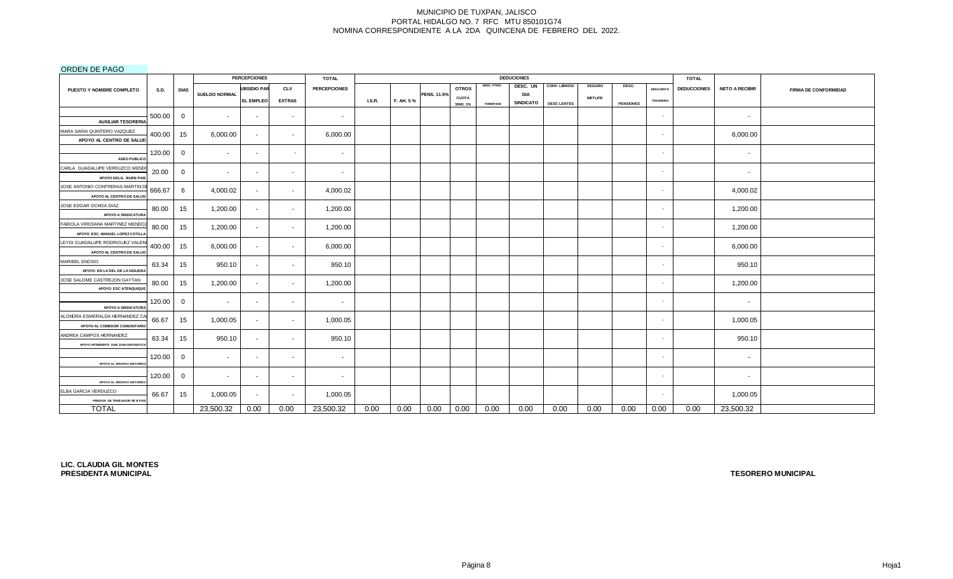# ORDEN DE PAGO

|                                                                      |             |              |                          | <b>PERCEPCIONES</b> |               | <b>TOTAL</b>        |               |           |             |                 |                 | <b>DEDUCIONES</b> |                    |                |                  |                  | <b>TOTAL</b>       |                       |                             |
|----------------------------------------------------------------------|-------------|--------------|--------------------------|---------------------|---------------|---------------------|---------------|-----------|-------------|-----------------|-----------------|-------------------|--------------------|----------------|------------------|------------------|--------------------|-----------------------|-----------------------------|
| PUESTO Y NOMBRE COMPLETO                                             | <b>S.D.</b> | <b>DIAS</b>  |                          | <b>UBSIDIO PAR</b>  | <b>CLV</b>    | <b>PERCEPCIONES</b> |               |           |             | <b>OTROS</b>    | DESC. PTMO.     | DESC. UN          | CONV. LIBROS/      | <b>SEGURO</b>  | DESC.            | <b>DESCUENTO</b> | <b>DEDUCCIONES</b> | <b>NETO A RECIBIR</b> | <b>FIRMA DE CONFORMIDAD</b> |
|                                                                      |             |              | <b>SUELDO NORMAL</b>     | <b>EL EMPLEO</b>    | <b>EXTRAS</b> |                     | <b>I.S.R.</b> | F. AH. 5% | PENS. 11.5% | <b>CUOTA</b>    |                 | <b>DIA</b>        |                    | <b>METLIFE</b> |                  | <b>TESORERIA</b> |                    |                       |                             |
|                                                                      |             |              |                          |                     |               |                     |               |           |             | <b>SIND. 1%</b> | <b>FOMEPADE</b> | SINDICATO         | <b>DESC LENTES</b> |                | <b>PENSIONES</b> |                  |                    |                       |                             |
| <b>AUXILIAR TESORERIA</b>                                            | 500.00      | 0            | $\overline{\phantom{a}}$ | $\sim$              | $\sim$        | $\sim$              |               |           |             |                 |                 |                   |                    |                |                  | $\sim$           |                    | $\sim$                |                             |
| MARA SARAI QUINTERO VAZQUEZ<br>APOYO AL CENTRO DE SALUD              | 400.00      | 15           | 6,000.00                 | $\sim$              | $\sim$        | 6,000.00            |               |           |             |                 |                 |                   |                    |                |                  | $\sim$           |                    | 6,000.00              |                             |
| <b>ASEO PUBLICO</b>                                                  | 120.00      | $\mathbf{0}$ | $\overline{\phantom{a}}$ | $\sim$              | $\sim$        | $\sim$              |               |           |             |                 |                 |                   |                    |                |                  | $\sim$           |                    | $\sim$                |                             |
| CARLA GUADALUPE VERDUZCO MEND<br>APOYO DELG. BUEN PAIS               | 20.00       | $\mathbf{0}$ | $\sim$                   | $\sim$              | $\sim$        | $\sim$              |               |           |             |                 |                 |                   |                    |                |                  | $\sim$           |                    | $\sim$                |                             |
| JOSE ANTONIO CONTRERAS MARTIN D<br>APOYO AL CENTRO DE SALUD          | 666.67      | 6            | 4,000.02                 | $\sim$              | $\sim$        | 4,000.02            |               |           |             |                 |                 |                   |                    |                |                  | $\sim$           |                    | 4,000.02              |                             |
| JOSE EDGAR OCHOA DIAZ<br>APOYO A SINDICATURA                         | 80.00       | 15           | 1,200.00                 | $\sim$              | $\sim$        | 1,200.00            |               |           |             |                 |                 |                   |                    |                |                  | $\sim$           |                    | 1,200.00              |                             |
| FABIOLA VIRIDIANA MARTINEZ MENDOZ<br>APOYO ESC. MANUEL LOPEZ COTILL/ | 80.00       | 15           | 1,200.00                 | $\sim$              | $\sim$        | 1,200.00            |               |           |             |                 |                 |                   |                    |                |                  | $\sim$           |                    | 1,200.00              |                             |
| LEYDI GUADALUPE RODRIGUEZ VALEN<br>APOYO AL CENTRO DE SALUD          | 400.00      | 15           | 6,000.00                 | $\sim$              | $\sim$        | 6,000.00            |               |           |             |                 |                 |                   |                    |                |                  | ٠                |                    | 6,000.00              |                             |
| MARIBEL ENCISO<br>APOYO EN LA DEL DE LA HIGUERA                      | 63.34       | 15           | 950.10                   | $\sim$              | $\sim$        | 950.10              |               |           |             |                 |                 |                   |                    |                |                  | $\sim$           |                    | 950.10                |                             |
| JOSE SALOME CASTREJON GAYTAN<br>APOYO ESC ATENQUIQUE                 | 80.00       | 15           | 1,200.00                 | $\sim$              | $\sim$        | 1,200.00            |               |           |             |                 |                 |                   |                    |                |                  | $\sim$           |                    | 1,200.00              |                             |
| <b>APOYO A SINDICATURA</b>                                           | 120.00      | 0            | $\sim$                   | $\sim$              | $\sim$        | $\sim$              |               |           |             |                 |                 |                   |                    |                |                  | $\sim$           |                    | $\sim$                |                             |
| ALONDRA ESMERALDA HERNANDEZ CA<br>APOYO AL COMEDOR COMUNITARIO       | 66.67       | 15           | 1,000.05                 | $\sim$              | $\sim$        | 1,000.05            |               |           |             |                 |                 |                   |                    |                |                  | $\sim$           |                    | 1,000.05              |                             |
| ANDREA CAMPOS HERNANDEZ<br>APOYO INTENDENTE SAM JUAN ESPANATICA      | 63.34       | 15           | 950.10                   | $\sim$              | $\sim$        | 950.10              |               |           |             |                 |                 |                   |                    |                |                  | $\sim$           |                    | 950.10                |                             |
| APOYO AL ARCHIVO HISTORIC                                            | 120.00      | $\mathbf{0}$ | $\sim$                   | $\sim$              | $\sim$        | $\sim$              |               |           |             |                 |                 |                   |                    |                |                  | $\sim$           |                    | $\sim$                |                             |
| APOYO AL ARCHIVO HISTORICO                                           | 120.00      | $\mathbf{0}$ | $\sim$                   | $\sim$              | $\sim$        | $\sim$              |               |           |             |                 |                 |                   |                    |                |                  | $\sim$           |                    | $\sim$                |                             |
| ELBA GARCIA VERDUZCO<br>PENSION DE TRABJADOR DE B PAIS               | 66.67       | 15           | 1,000.05                 | $\sim$              | $\sim$        | 1,000.05            |               |           |             |                 |                 |                   |                    |                |                  | $\sim$           |                    | 1,000.05              |                             |
| <b>TOTAL</b>                                                         |             |              | 23,500.32                | 0.00                | 0.00          | 23,500.32           | 0.00          | 0.00      | 0.00        | 0.00            | 0.00            | 0.00              | 0.00               | 0.00           | 0.00             | 0.00             | 0.00               | 23,500.32             |                             |

#### **LIC. CLAUDIA GIL MONTES PRESIDENTA MUNICIPAL**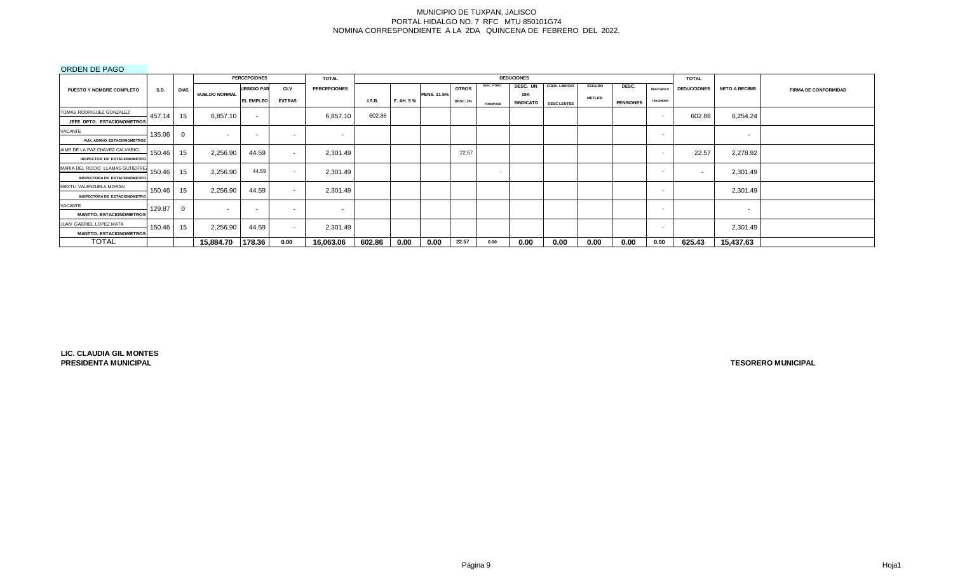# ORDEN DE PAGO

|                                     |             |             |                      | <b>PERCEPCIONES</b>      |               | <b>TOTAL</b>        |               |            |                    |                 |                 | <b>DEDUCIONES</b>              |                    |                |                  |                  | <b>TOTAL</b>       |                          |                             |
|-------------------------------------|-------------|-------------|----------------------|--------------------------|---------------|---------------------|---------------|------------|--------------------|-----------------|-----------------|--------------------------------|--------------------|----------------|------------------|------------------|--------------------|--------------------------|-----------------------------|
| <b>PUESTO Y NOMBRE COMPLETO</b>     | <b>S.D.</b> | <b>DIAS</b> |                      | <b>UBSIDIO PAR</b>       | <b>CLV</b>    | <b>PERCEPCIONES</b> |               |            |                    | <b>OTROS</b>    | DESC. PTMO.     | DESC. UN                       | CONV. LIBROS/      | <b>SEGURO</b>  | DESC.            | <b>DESCUENTO</b> | <b>DEDUCCIONES</b> | <b>NETO A RECIBIR</b>    | <b>FIRMA DE CONFORMIDAD</b> |
|                                     |             |             | <b>SUELDO NORMAL</b> | <b>EL EMPLEO</b>         | <b>EXTRAS</b> |                     | <b>I.S.R.</b> | F. AH. 5 % | <b>PENS. 11.5%</b> | <b>DESC. 2%</b> | <b>FOMEPADE</b> | <b>DIA</b><br><b>SINDICATO</b> | <b>DESC LENTES</b> | <b>METLIFE</b> | <b>PENSIONES</b> | <b>TESORERIA</b> |                    |                          |                             |
| TOMAS RODRIGUEZ GONZALEZ            | 457.14      | 15          | 6,857.10             | $\sim$                   |               | 6,857.10            | 602.86        |            |                    |                 |                 |                                |                    |                |                  | $\sim$           | 602.86             | 6,254.24                 |                             |
| JEFE DPTO. ESTACIONOMETROS          |             |             |                      |                          |               |                     |               |            |                    |                 |                 |                                |                    |                |                  |                  |                    |                          |                             |
| VACANTE                             | 135.06      |             | . .                  | $\overline{\phantom{a}}$ | $\sim$        | $\sim$              |               |            |                    |                 |                 |                                |                    |                |                  | . .              |                    | $\sim$                   |                             |
| <b>AUX. ADMVO. ESTACIONOMETROS</b>  |             |             |                      |                          |               |                     |               |            |                    |                 |                 |                                |                    |                |                  |                  |                    |                          |                             |
| AIME DE LA PAZ CHAVEZ CALVARIO      | 150.46      | 15          | 2,256.90             | 44.59                    | $\sim$        | 2,301.49            |               |            |                    | 22.57           |                 |                                |                    |                |                  | . .              | 22.57              | 2,278.92                 |                             |
| <b>INSPECTOR DE ESTACIONOMETRO</b>  |             |             |                      |                          |               |                     |               |            |                    |                 |                 |                                |                    |                |                  |                  |                    |                          |                             |
| MARIA DEL ROCIO LLAMAS GUTIERREZ    | 150.46      | 15          | 2,256.90             | 44.59                    | $\sim$        | 2,301.49            |               |            |                    |                 | $\sim$          |                                |                    |                |                  | . .              |                    | 2,301.49                 |                             |
| <b>INSPECTORA DE ESTACIONOMETRO</b> |             |             |                      |                          |               |                     |               |            |                    |                 |                 |                                |                    |                |                  |                  |                    |                          |                             |
| MEXTLI VALENZUELA MORAN             | 150.46      | 15          | 2,256.90             | 44.59                    | $\sim$        | 2,301.49            |               |            |                    |                 |                 |                                |                    |                |                  |                  |                    | 2,301.49                 |                             |
| <b>INSPECTORA DE ESTACIONOMETRO</b> |             |             |                      |                          |               |                     |               |            |                    |                 |                 |                                |                    |                |                  |                  |                    |                          |                             |
| VACANTE                             | 129.87      | $\Omega$    | . .                  | $\overline{\phantom{0}}$ | $\sim$        | $\sim$              |               |            |                    |                 |                 |                                |                    |                |                  | $\sim$           |                    | $\overline{\phantom{a}}$ |                             |
| <b>MANTTO. ESTACIONOMETROS</b>      |             |             |                      |                          |               |                     |               |            |                    |                 |                 |                                |                    |                |                  |                  |                    |                          |                             |
| JUAN GABRIEL LOPEZ MATA             | 150.46      | 15          | 2,256.90             | 44.59                    | $\sim$        | 2,301.49            |               |            |                    |                 |                 |                                |                    |                |                  | $\sim$           |                    | 2,301.49                 |                             |
| <b>MANTTO, ESTACIONOMETROS</b>      |             |             |                      |                          |               |                     |               |            |                    |                 |                 |                                |                    |                |                  |                  |                    |                          |                             |
| <b>TOTAL</b>                        |             |             | 15,884.70            | 178.36                   | 0.00          | 16,063.06           | 602.86        | 0.00       | 0.00               | 22.57           | 0.00            | 0.00                           | 0.00               | 0.00           | 0.00             | 0.00             | 625.43             | 15,437.63                |                             |

**LIC. CLAUDIA GIL MONTES PRESIDENTA MUNICIPAL**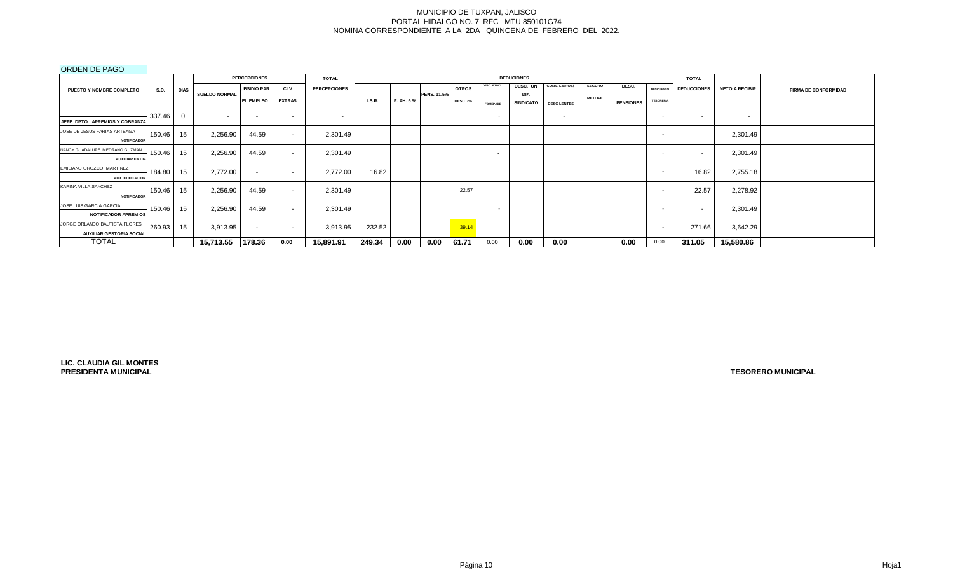# ORDEN DE PAGO

|                                                                  |             |             |               | <b>PERCEPCIONES</b>      |               | <b>TOTAL</b>        |                          |            |                    |                 |                          | <b>DEDUCIONES</b>       |                          |                |                  |                  | <b>TOTAL</b>             |                       |                             |
|------------------------------------------------------------------|-------------|-------------|---------------|--------------------------|---------------|---------------------|--------------------------|------------|--------------------|-----------------|--------------------------|-------------------------|--------------------------|----------------|------------------|------------------|--------------------------|-----------------------|-----------------------------|
| PUESTO Y NOMBRE COMPLETO                                         | <b>S.D.</b> | <b>DIAS</b> |               | <b>UBSIDIO PAR</b>       | <b>CLV</b>    | <b>PERCEPCIONES</b> |                          |            |                    | <b>OTROS</b>    | DESC. PTMO.              | DESC. UN                | CONV. LIBROS/            | <b>SEGURO</b>  | DESC.            | <b>DESCUENTO</b> | <b>DEDUCCIONES</b>       | <b>NETO A RECIBIR</b> | <b>FIRMA DE CONFORMIDAD</b> |
|                                                                  |             |             | SUELDO NORMAL | <b>EL EMPLEO</b>         | <b>EXTRAS</b> |                     | <b>I.S.R.</b>            | F. AH. 5 % | <b>PENS. 11.5%</b> | <b>DESC. 2%</b> | <b>FOMEPADE</b>          | DIA<br><b>SINDICATO</b> | <b>DESC LENTES</b>       | <b>METLIFE</b> | <b>PENSIONES</b> | <b>TESORERIA</b> |                          |                       |                             |
| JEFE DPTO. APREMIOS Y COBRANZA                                   | 337.46      |             | . .           | $\overline{\phantom{a}}$ | $\sim$        | $\sim$              | $\overline{\phantom{a}}$ |            |                    |                 | $\sim$                   |                         | $\overline{\phantom{a}}$ |                |                  | <b>COL</b>       | $\overline{\phantom{a}}$ | $\sim$                |                             |
| JOSE DE JESUS FARIAS ARTEAGA<br><b>NOTIFICADOR</b>               | 150.46      | 15          | 2,256.90      | 44.59                    | $\sim$        | 2,301.49            |                          |            |                    |                 |                          |                         |                          |                |                  | . .              |                          | 2,301.49              |                             |
| NANCY GUADALUPE MEDRANO GUZMAN<br><b>AUXILIAR EN DIF</b>         | 150.46      | 15          | 2,256.90      | 44.59                    | $\sim$        | 2,301.49            |                          |            |                    |                 | $\overline{\phantom{a}}$ |                         |                          |                |                  | <b>COL</b>       | $\overline{\phantom{a}}$ | 2,301.49              |                             |
| EMILIANO OROZCO MARTINEZ<br><b>AUX. EDUCACION</b>                | 184.80      | 15          | 2,772.00      | $\sim$                   | $\sim$        | 2,772.00            | 16.82                    |            |                    |                 |                          |                         |                          |                |                  |                  | 16.82                    | 2,755.18              |                             |
| KARINA VILLA SANCHEZ<br><b>NOTIFICADOR</b>                       | 150.46      | 15          | 2,256.90      | 44.59                    | $\sim$        | 2,301.49            |                          |            |                    | 22.57           |                          |                         |                          |                |                  |                  | 22.57                    | 2,278.92              |                             |
| JOSE LUIS GARCIA GARCIA<br><b>NOTIFICADOR APREMIOS</b>           | 150.46      | 15          | 2,256.90      | 44.59                    | $\sim$        | 2,301.49            |                          |            |                    |                 | $\sim$                   |                         |                          |                |                  | $\sim$           |                          | 2,301.49              |                             |
| JORGE ORLANDO BAUTISTA FLORES<br><b>AUXILIAR GESTORIA SOCIAL</b> | 260.93      | 15          | 3,913.95      | $\sim$                   | $\sim$        | 3,913.95            | 232.52                   |            |                    | 39.14           |                          |                         |                          |                |                  | $\sim$           | 271.66                   | 3,642.29              |                             |
| <b>TOTAL</b>                                                     |             |             | 15,713.55     | 178.36                   | 0.00          | 15,891.91           | 249.34                   | 0.00       | 0.00               | 61.71           | 0.00                     | 0.00                    | 0.00                     |                | 0.00             | 0.00             | 311.05                   | 15,580.86             |                             |

**LIC. CLAUDIA GIL MONTES PRESIDENTA MUNICIPAL**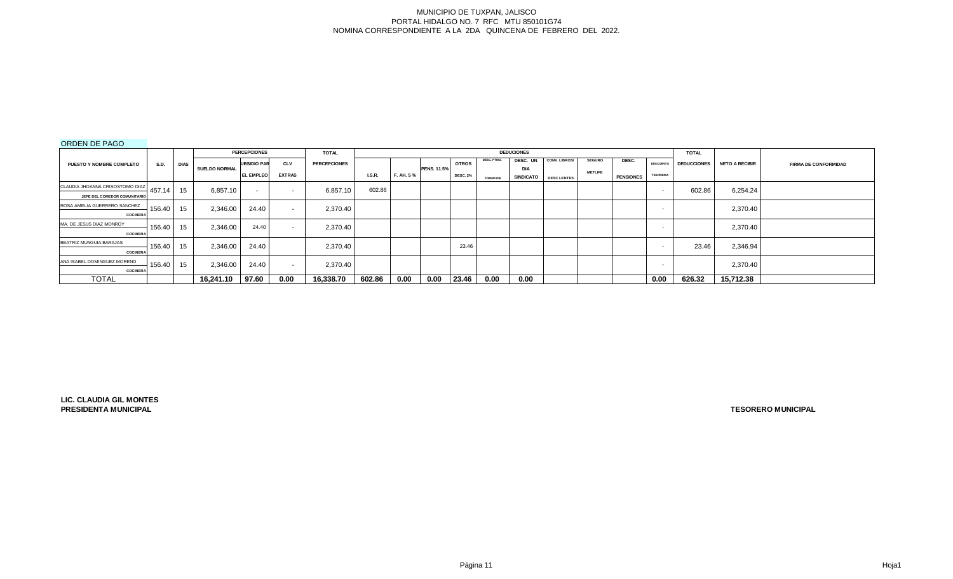# ORDEN DE PAGO

|                                 |             |             |                      | <b>PERCEPCIONES</b> |               | <b>TOTAL</b>        |               |           |                    |                 |                 | <b>DEDUCIONES</b> |                    |                |                  |                  | <b>TOTAL</b>       |                       |                             |
|---------------------------------|-------------|-------------|----------------------|---------------------|---------------|---------------------|---------------|-----------|--------------------|-----------------|-----------------|-------------------|--------------------|----------------|------------------|------------------|--------------------|-----------------------|-----------------------------|
| PUESTO Y NOMBRE COMPLETO        | <b>S.D.</b> | <b>DIAS</b> |                      | <b>UBSIDIO PAR</b>  | <b>CLV</b>    | <b>PERCEPCIONES</b> |               |           |                    | <b>OTROS</b>    | DESC. PTMO.     | DESC. UN          | CONV. LIBROS/      | <b>SEGURO</b>  | DESC.            | <b>DESCUENTO</b> | <b>DEDUCCIONES</b> | <b>NETO A RECIBIR</b> | <b>FIRMA DE CONFORMIDAD</b> |
|                                 |             |             | <b>SUELDO NORMAL</b> |                     |               |                     |               |           | <b>PENS. 11.5%</b> |                 |                 | <b>DIA</b>        |                    | <b>METLIFE</b> |                  |                  |                    |                       |                             |
|                                 |             |             |                      | <b>EL EMPLEO</b>    | <b>EXTRAS</b> |                     | <b>I.S.R.</b> | F. AH. 5% |                    | <b>DESC. 2%</b> | <b>FOMEPADE</b> | <b>SINDICATO</b>  | <b>DESC LENTES</b> |                | <b>PENSIONES</b> | <b>TESORERIA</b> |                    |                       |                             |
| CLAUDIA JHOANNA CRISOSTOMO DIAZ | 457.14      | 15          | 6.857.10             | $\sim$              | $\sim$        | 6,857.10            | 602.86        |           |                    |                 |                 |                   |                    |                |                  | . .              | 602.86             | 6,254.24              |                             |
| JEFE DEL COMEDOR COMUNITARIO    |             |             |                      |                     |               |                     |               |           |                    |                 |                 |                   |                    |                |                  |                  |                    |                       |                             |
| ROSA AMELIA GUERRERO SANCHEZ    | 156.40      | 15          | 2,346.00             | 24.40               | $\sim$        | 2,370.40            |               |           |                    |                 |                 |                   |                    |                |                  | $\sim$           |                    | 2,370.40              |                             |
| <b>COCINERA</b>                 |             |             |                      |                     |               |                     |               |           |                    |                 |                 |                   |                    |                |                  |                  |                    |                       |                             |
| MA. DE JESUS DIAZ MONROY        | 156.40      | 15          | 2,346.00             | 24.40               | $\sim$        | 2,370.40            |               |           |                    |                 |                 |                   |                    |                |                  | $\sim$           |                    | 2,370.40              |                             |
| <b>COCINERA</b>                 |             |             |                      |                     |               |                     |               |           |                    |                 |                 |                   |                    |                |                  |                  |                    |                       |                             |
| BEATRIZ MUNGUIA BARAJAS         | 156.40      | 15          | 2,346.00             | 24.40               |               | 2,370.40            |               |           |                    | 23.46           |                 |                   |                    |                |                  | . .              | 23.46              | 2,346.94              |                             |
| <b>COCINERA</b>                 |             |             |                      |                     |               |                     |               |           |                    |                 |                 |                   |                    |                |                  |                  |                    |                       |                             |
| ANA ISABEL DOMINGUEZ MORENO     | 156.40      | 15          | 2,346.00             | 24.40               | $\sim$        | 2.370.40            |               |           |                    |                 |                 |                   |                    |                |                  |                  |                    | 2,370.40              |                             |
| <b>COCINERA</b>                 |             |             |                      |                     |               |                     |               |           |                    |                 |                 |                   |                    |                |                  |                  |                    |                       |                             |
| <b>TOTAL</b>                    |             |             | 16.241.10            | 97.60               | 0.00          | 16,338.70           | 602.86        | 0.00      | 0.00               | 23.46           | 0.00            | 0.00              |                    |                |                  | 0.00             | 626.32             | 15,712.38             |                             |

**LIC. CLAUDIA GIL MONTES PRESIDENTA MUNICIPAL**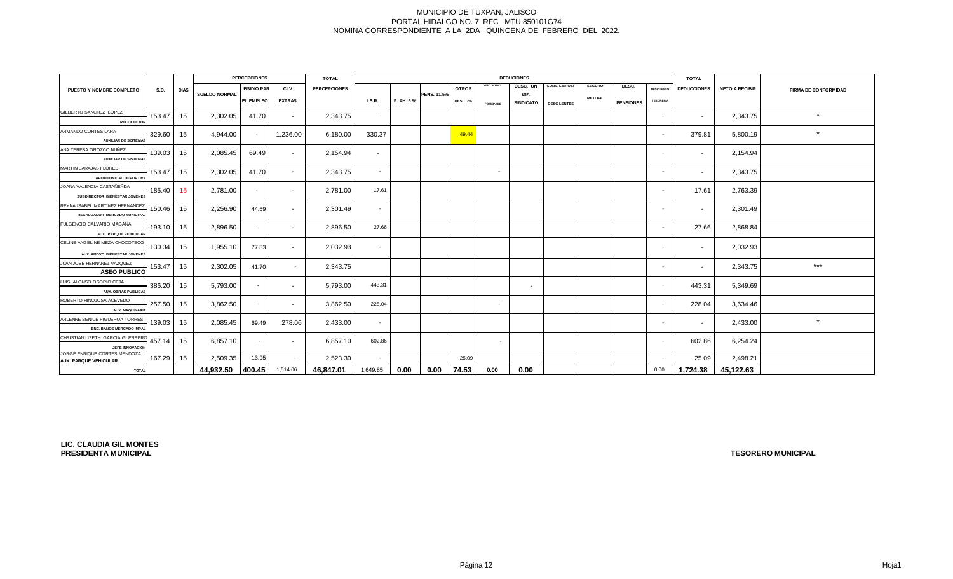|                                                           |             |             |                      | <b>PERCEPCIONES</b> |               | <b>TOTAL</b>        |                          |           |             |                 |                 | <b>DEDUCIONES</b>       |                    |                |                  |                  | <b>TOTAL</b>       |                       |                             |
|-----------------------------------------------------------|-------------|-------------|----------------------|---------------------|---------------|---------------------|--------------------------|-----------|-------------|-----------------|-----------------|-------------------------|--------------------|----------------|------------------|------------------|--------------------|-----------------------|-----------------------------|
| PUESTO Y NOMBRE COMPLETO                                  | <b>S.D.</b> | <b>DIAS</b> |                      | <b>UBSIDIO PAR</b>  | <b>CLV</b>    | <b>PERCEPCIONES</b> |                          |           |             | <b>OTROS</b>    | DESC. PTMO.     | DESC. UN                | CONV. LIBROS/      | <b>SEGURO</b>  | DESC.            | <b>DESCUENTO</b> | <b>DEDUCCIONES</b> | <b>NETO A RECIBIR</b> | <b>FIRMA DE CONFORMIDAD</b> |
|                                                           |             |             | <b>SUELDO NORMAL</b> | <b>EL EMPLEO</b>    | <b>EXTRAS</b> |                     | I.S.R.                   | F. AH. 5% | PENS. 11.5% | <b>DESC. 2%</b> | <b>FOMEPADE</b> | DIA<br><b>SINDICATO</b> | <b>DESC LENTES</b> | <b>METLIFE</b> | <b>PENSIONES</b> | <b>TESORERIA</b> |                    |                       |                             |
| GILBERTO SANCHEZ LOPEZ                                    | 153.47      | 15          | 2,302.05             | 41.70               | $\sim$        | 2,343.75            | $\overline{\phantom{a}}$ |           |             |                 |                 |                         |                    |                |                  | $\sim$           | $\sim$             | 2,343.75              | $\star$                     |
| <b>RECOLECTOR</b>                                         |             |             |                      |                     |               |                     |                          |           |             |                 |                 |                         |                    |                |                  |                  |                    |                       |                             |
| ARMANDO CORTES LARA                                       | 329.60      | 15          | 4,944.00             | $\sim$              | 1,236.00      | 6,180.00            | 330.37                   |           |             | 49.44           |                 |                         |                    |                |                  | $\sim$           | 379.81             | 5,800.19              | $\star$                     |
| <b>AUXILIAR DE SISTEMAS</b>                               |             |             |                      |                     |               |                     |                          |           |             |                 |                 |                         |                    |                |                  |                  |                    |                       |                             |
| ANA TERESA OROZCO NUÑEZ<br><b>AUXILIAR DE SISTEMAS</b>    | 139.03      | 15          | 2,085.45             | 69.49               | $\sim$        | 2,154.94            | $\sim$                   |           |             |                 |                 |                         |                    |                |                  | <b>.</b>         | $\sim$             | 2,154.94              |                             |
| MARTIN BARAJAS FLORES                                     |             |             |                      |                     |               |                     |                          |           |             |                 |                 |                         |                    |                |                  |                  |                    |                       |                             |
| APOYO UNIDAD DEPORTIVA                                    | 153.47      | 15          | 2,302.05             | 41.70               | $\sim$        | 2,343.75            | $\sim$                   |           |             |                 | $\sim$          |                         |                    |                |                  | <b>.</b>         |                    | 2,343.75              |                             |
| JOANA VALENCIA CASTAÑEÑDA                                 | 185.40      | 15          | 2,781.00             | $\sim$              | $\sim$        | 2,781.00            | 17.61                    |           |             |                 |                 |                         |                    |                |                  | $\sim$           | 17.61              | 2,763.39              |                             |
| SUBDIRECTOR BIENESTAR JOVENES                             |             |             |                      |                     |               |                     |                          |           |             |                 |                 |                         |                    |                |                  |                  |                    |                       |                             |
| REYNA ISABEL MARTINEZ HERNANDEZ                           | 150.46      | 15          | 2,256.90             | 44.59               | $\sim$        | 2,301.49            | $\sim$                   |           |             |                 |                 |                         |                    |                |                  | $\sim$           | $\sim$             | 2,301.49              |                             |
| RECAUDADOR MERCADO MUNICIPAL<br>FULGENCIO CALVARIO MAGAÑA |             |             |                      |                     |               |                     |                          |           |             |                 |                 |                         |                    |                |                  |                  |                    |                       |                             |
| AUX. PARQUE VEHICULAR                                     | 193.10      | 15          | 2,896.50             | $\sim$              | $\sim$        | 2,896.50            | 27.66                    |           |             |                 |                 |                         |                    |                |                  | $\sim$           | 27.66              | 2,868.84              |                             |
| CELINE ANGELINE MEZA CHOCOTECO                            | 130.34      | 15          | 1,955.10             | 77.83               | $\sim$        | 2,032.93            | $\sim$                   |           |             |                 |                 |                         |                    |                |                  | $\sim$           | $\sim$             | 2,032.93              |                             |
| AUX. AMDVO. BIENESTAR JOVENES                             |             |             |                      |                     |               |                     |                          |           |             |                 |                 |                         |                    |                |                  |                  |                    |                       |                             |
| JUAN JOSE HERNANEZ VAZQUEZ                                | 153.47      | 15          | 2,302.05             | 41.70               |               | 2,343.75            |                          |           |             |                 |                 |                         |                    |                |                  | $\sim$           | $\sim$             | 2,343.75              | $***$                       |
| <b>ASEO PUBLICO</b>                                       |             |             |                      |                     |               |                     |                          |           |             |                 |                 |                         |                    |                |                  |                  |                    |                       |                             |
| LUIS ALONSO OSORIO CEJA                                   | 386.20      | 15          | 5,793.00             | $\sim$              | $\sim$        | 5,793.00            | 443.31                   |           |             |                 |                 | $\sim$                  |                    |                |                  | $\sim$           | 443.31             | 5,349.69              |                             |
| <b>AUX. OBRAS PUBLICAS</b><br>ROBERTO HINOJOSA ACEVEDO    |             |             |                      |                     |               |                     |                          |           |             |                 |                 |                         |                    |                |                  |                  |                    |                       |                             |
| <b>AUX. MAQUINARIA</b>                                    | 257.50      | 15          | 3,862.50             | $\sim$              | $\sim$        | 3,862.50            | 228.04                   |           |             |                 | $\sim$          |                         |                    |                |                  | $\sim$           | 228.04             | 3,634.46              |                             |
| ARLENNE BENICE FIGUEROA TORRES                            | 139.03      | 15          | 2,085.45             | 69.49               | 278.06        | 2,433.00            | $\sim$                   |           |             |                 |                 |                         |                    |                |                  | <b>.</b>         | $\sim$             | 2,433.00              | $\star$                     |
| ENC. BAÑOS MERCADO MPA                                    |             |             |                      |                     |               |                     |                          |           |             |                 |                 |                         |                    |                |                  |                  |                    |                       |                             |
| CHRISTIAN LIZETH GARCIA GUERRERC                          | 457.14      | 15          | 6,857.10             | $\sim$              | $\sim$        | 6,857.10            | 602.86                   |           |             |                 | $\sim$          |                         |                    |                |                  | $\sim$           | 602.86             | 6,254.24              |                             |
| JEFE INNOVACION<br>JORGE ENRIQUE CORTES MENDOZA           |             |             |                      |                     |               |                     |                          |           |             |                 |                 |                         |                    |                |                  |                  |                    |                       |                             |
| <b>AUX. PARQUE VEHICULAR</b>                              | 167.29      | 15          | 2,509.35             | 13.95               | $\sim$        | 2,523.30            | $\sim$                   |           |             | 25.09           |                 |                         |                    |                |                  | $\sim$           | 25.09              | 2,498.21              |                             |
| <b>TOTAL</b>                                              |             |             | 44,932.50            | 400.45              | 1,514.06      | 46,847.01           | 1,649.85                 | 0.00      | 0.00        | 74.53           | 0.00            | 0.00                    |                    |                |                  | 0.00             | 1,724.38           | 45,122.63             |                             |

**LIC. CLAUDIA GIL MONTES PRESIDENTA MUNICIPAL**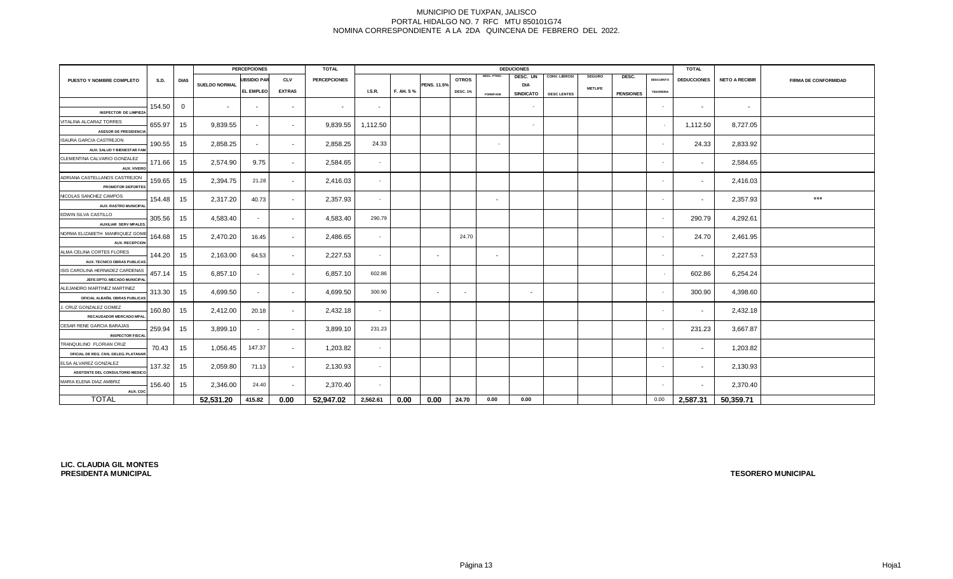|                                                                |             |             |                          | <b>PERCEPCIONES</b><br><b>DEDUCIONES</b><br><b>TOTAL</b> |               |                     |               |           |             | <b>TOTAL</b>    |                 |                  |                    |                |                  |                          |                          |                       |                             |
|----------------------------------------------------------------|-------------|-------------|--------------------------|----------------------------------------------------------|---------------|---------------------|---------------|-----------|-------------|-----------------|-----------------|------------------|--------------------|----------------|------------------|--------------------------|--------------------------|-----------------------|-----------------------------|
| PUESTO Y NOMBRE COMPLETO                                       | <b>S.D.</b> | <b>DIAS</b> |                          | <b>UBSIDIO PAR</b>                                       | <b>CLV</b>    | <b>PERCEPCIONES</b> |               |           |             | <b>OTROS</b>    | DESC. PTMO.     | DESC. UN         | CONV. LIBROS/      | <b>SEGURO</b>  | DESC.            | <b>DESCUENTO</b>         | <b>DEDUCCIONES</b>       | <b>NETO A RECIBIR</b> | <b>FIRMA DE CONFORMIDAD</b> |
|                                                                |             |             | SUELDO NORMAL            | EL EMPLEO                                                | <b>EXTRAS</b> |                     | <b>I.S.R.</b> | F. AH. 5% | PENS. 11.5% | <b>DESC. 1%</b> |                 | <b>DIA</b>       |                    | <b>METLIFE</b> |                  | <b>TESORERIA</b>         |                          |                       |                             |
|                                                                |             |             |                          |                                                          |               |                     |               |           |             |                 | <b>FOMEPADE</b> | <b>SINDICATO</b> | <b>DESC LENTES</b> |                | <b>PENSIONES</b> |                          |                          |                       |                             |
|                                                                | 154.50      | $\mathbf 0$ | $\overline{\phantom{a}}$ |                                                          | $\sim$        | ٠                   |               |           |             |                 |                 |                  |                    |                |                  |                          | $\overline{\phantom{a}}$ | $\sim$                |                             |
| <b>INSPECTOR DE LIMPIEZA</b><br>VITALINA ALCARAZ TORRES        |             |             |                          |                                                          |               |                     |               |           |             |                 |                 |                  |                    |                |                  |                          |                          |                       |                             |
|                                                                | 655.97      | 15          | 9,839.55                 | $\sim$                                                   | $\sim$        | 9,839.55            | 1,112.50      |           |             |                 |                 | $\sim$           |                    |                |                  |                          | 1,112.50                 | 8,727.05              |                             |
| <b>ASESOR DE PRESIDENCIA</b><br><b>ISAURA GARCIA CASTREJON</b> |             |             |                          |                                                          |               |                     |               |           |             |                 |                 |                  |                    |                |                  |                          |                          |                       |                             |
| AUX. SALUD Y BIENESTAR FAM                                     | 190.55      | 15          | 2,858.25                 | $\sim$                                                   | $\sim$        | 2,858.25            | 24.33         |           |             |                 | $\sim$          |                  |                    |                |                  |                          | 24.33                    | 2,833.92              |                             |
| CLEMENTINA CALVARIO GONZALEZ                                   |             |             |                          |                                                          |               |                     |               |           |             |                 |                 |                  |                    |                |                  |                          |                          |                       |                             |
| AUX. VIVERO                                                    | 171.66      | 15          | 2,574.90                 | 9.75                                                     | $\sim$        | 2,584.65            | $\sim$        |           |             |                 |                 |                  |                    |                |                  |                          | $\sim$                   | 2,584.65              |                             |
| ADRIANA CASTELLANOS CASTREJON                                  |             |             | 2,394.75                 | 21.28                                                    |               | 2,416.03            | $\sim$        |           |             |                 |                 |                  |                    |                |                  |                          |                          | 2,416.03              |                             |
| <b>PROMOTOR DEPORTES</b>                                       | 159.65      | 15          |                          |                                                          | $\sim$        |                     |               |           |             |                 |                 |                  |                    |                |                  |                          | $\sim$                   |                       |                             |
| NICOLAS SANCHEZ CAMPOS                                         | 154.48      | 15          | 2,317.20                 | 40.73                                                    | $\sim$        | 2,357.93            | $\sim$        |           |             |                 | $\sim$          |                  |                    |                |                  |                          | $\sim$                   | 2,357.93              | $\star\star\star$           |
| <b>AUX. RASTRO MUNICIPA</b>                                    |             |             |                          |                                                          |               |                     |               |           |             |                 |                 |                  |                    |                |                  |                          |                          |                       |                             |
| <b>EDWIN SILVA CASTILLO</b>                                    | 305.56      | 15          | 4,583.40                 | $\sim$                                                   | $\sim$        | 4,583.40            | 290.79        |           |             |                 |                 |                  |                    |                |                  |                          | 290.79                   | 4,292.61              |                             |
| <b>AUXILIAR SERV MPALES</b>                                    |             |             |                          |                                                          |               |                     |               |           |             |                 |                 |                  |                    |                |                  |                          |                          |                       |                             |
| NORMA ELIZABETH MANRIQUEZ GOM                                  | 164.68      | 15          | 2,470.20                 | 16.45                                                    | $\sim$        | 2,486.65            | $\sim$        |           |             | 24.70           |                 |                  |                    |                |                  | ٠                        | 24.70                    | 2,461.95              |                             |
| <b>AUX. RECEPCION</b>                                          |             |             |                          |                                                          |               |                     |               |           |             |                 |                 |                  |                    |                |                  |                          |                          |                       |                             |
| ALMA CELINA CORTES FLORES                                      | 144.20      | 15          | 2,163.00                 | 64.53                                                    | $\sim$        | 2,227.53            | $\sim$        |           | $\sim$      |                 | $\sim$          |                  |                    |                |                  |                          | $\sim$                   | 2,227.53              |                             |
| AUX. TECNICO OBRAS PUBLICAS                                    |             |             |                          |                                                          |               |                     |               |           |             |                 |                 |                  |                    |                |                  |                          |                          |                       |                             |
| ISIS CAROLINA HERNADEZ CARDENAS                                | 457.14      | 15          | 6,857.10                 | $\sim$                                                   | $\sim$        | 6,857.10            | 602.86        |           |             |                 |                 |                  |                    |                |                  |                          | 602.86                   | 6,254.24              |                             |
| JEFE DPTO. MECADO MUNICIPA<br>ALEJANDRO MARTINEZ MARTINEZ      |             |             |                          |                                                          |               |                     |               |           |             |                 |                 |                  |                    |                |                  |                          |                          |                       |                             |
| OFICIAL ALBAÑIL OBRAS PUBLICAS                                 | 313.30      | 15          | 4,699.50                 | $\sim$                                                   | $\sim$        | 4,699.50            | 300.90        |           | $\sim$      |                 |                 | $\sim$           |                    |                |                  |                          | 300.90                   | 4,398.60              |                             |
| J. CRUZ GONZALEZ GOMEZ                                         |             |             |                          |                                                          |               |                     |               |           |             |                 |                 |                  |                    |                |                  |                          |                          |                       |                             |
| RECAUDADOR MERCADO MPAL                                        | 160.80      | 15          | 2,412.00                 | 20.18                                                    | $\sim$        | 2,432.18            | $\sim$        |           |             |                 |                 |                  |                    |                |                  |                          | $\sim$                   | 2,432.18              |                             |
| CESAR RENE GARCIA BARAJAS                                      |             |             |                          |                                                          |               |                     |               |           |             |                 |                 |                  |                    |                |                  |                          |                          |                       |                             |
| <b>INSPECTOR FISCA</b>                                         | 259.94      | 15          | 3,899.10                 | $\sim$                                                   | $\sim$        | 3,899.10            | 231.23        |           |             |                 |                 |                  |                    |                |                  |                          | 231.23                   | 3,667.87              |                             |
| TRANQUILINO FLORIAN CRUZ                                       | 70.43       | 15          | 1,056.45                 | 147.37                                                   | $\sim$        | 1,203.82            | $\sim$        |           |             |                 |                 |                  |                    |                |                  |                          | $\blacksquare$           | 1,203.82              |                             |
| OFICIAL DE REG. CIVIL DELEG. PLATANAR                          |             |             |                          |                                                          |               |                     |               |           |             |                 |                 |                  |                    |                |                  |                          |                          |                       |                             |
| ELSA ALVAREZ GONZALEZ                                          | 137.32      | 15          | 2,059.80                 | 71.13                                                    | $\sim$        | 2,130.93            | $\sim$        |           |             |                 |                 |                  |                    |                |                  |                          | $\sim$                   | 2,130.93              |                             |
| ASISTENTE DEL CONSULTORIO MEDICO                               |             |             |                          |                                                          |               |                     |               |           |             |                 |                 |                  |                    |                |                  |                          |                          |                       |                             |
| MARIA ELENA DIAZ AMBRIZ                                        | 156.40      | 15          | 2,346.00                 | 24.40                                                    | $\sim$        | 2,370.40            | $\sim$        |           |             |                 |                 |                  |                    |                |                  | $\overline{\phantom{a}}$ | $\sim$                   | 2,370.40              |                             |
| AUX. CDO                                                       |             |             |                          |                                                          |               |                     |               |           |             |                 |                 |                  |                    |                |                  |                          |                          |                       |                             |
| <b>TOTAL</b>                                                   |             |             | 52,531.20                | 415.82                                                   | 0.00          | 52.947.02           | 2,562.61      | 0.00      | 0.00        | 24.70           | 0.00            | 0.00             |                    |                |                  | 0.00                     | 2,587.31                 | 50,359.71             |                             |

**LIC. CLAUDIA GIL MONTES PRESIDENTA MUNICIPAL**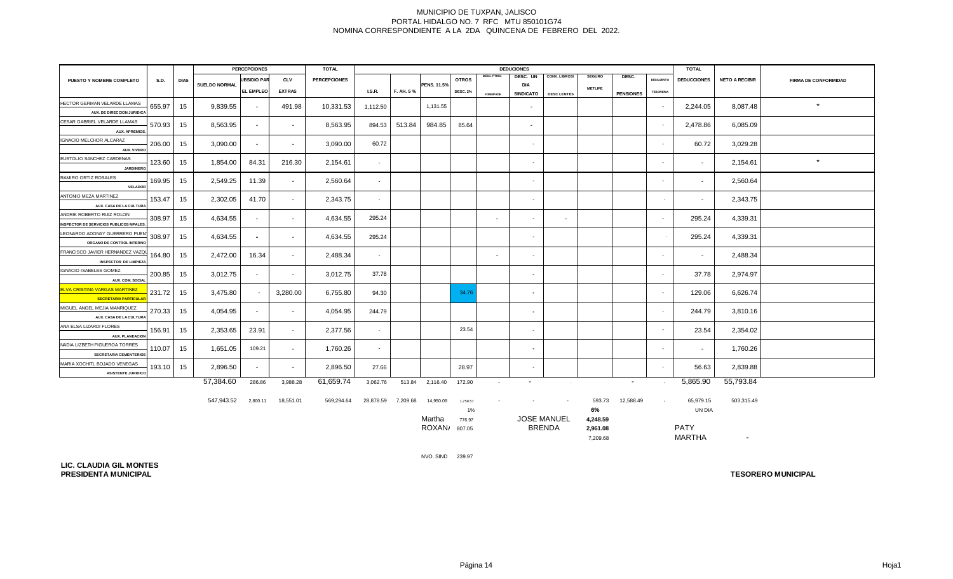|                                                      | <b>PERCEPCIONES</b><br><b>DEDUCIONES</b><br>TOTAL |             |                      |                    |               |                     |          |           |                 | <b>TOTAL</b>    |                 |                          |                    |                |                  |                  |                    |                       |                             |
|------------------------------------------------------|---------------------------------------------------|-------------|----------------------|--------------------|---------------|---------------------|----------|-----------|-----------------|-----------------|-----------------|--------------------------|--------------------|----------------|------------------|------------------|--------------------|-----------------------|-----------------------------|
| PUESTO Y NOMBRE COMPLETO                             | <b>S.D.</b>                                       | <b>DIAS</b> |                      | <b>UBSIDIO PAR</b> | <b>CLV</b>    | <b>PERCEPCIONES</b> |          |           |                 | <b>OTROS</b>    | DESC. PTMO.     | DESC. UN                 | CONV. LIBROS/      | <b>SEGURO</b>  | DESC.            | <b>DESCUENTO</b> | <b>DEDUCCIONES</b> | <b>NETO A RECIBIR</b> | <b>FIRMA DE CONFORMIDAD</b> |
|                                                      |                                                   |             | <b>SUELDO NORMAL</b> | <b>EL EMPLEO</b>   | <b>EXTRAS</b> |                     | LS.R.    | F. AH. 5% | PENS. 11.5%     | <b>DESC. 2%</b> |                 | DIA<br><b>SINDICATO</b>  |                    | <b>METLIFE</b> | <b>PENSIONES</b> | <b>TESORERIA</b> |                    |                       |                             |
| HECTOR GERMAN VELARDE LLAMAS                         |                                                   |             |                      |                    |               |                     |          |           |                 |                 | <b>FOMEPADE</b> |                          | <b>DESC LENTES</b> |                |                  |                  |                    |                       |                             |
| AUX. DE DIRECCION JURIDICA                           | 655.97                                            | 15          | 9,839.55             | $\sim$             | 491.98        | 10,331.53           | 1,112.50 |           | 1,131.55        |                 |                 | $\sim$                   |                    |                |                  | $\sim$           | 2,244.05           | 8,087.48              | $\star$                     |
| CESAR GABRIEL VELARDE LLAMAS                         |                                                   |             |                      |                    |               |                     |          |           |                 |                 |                 |                          |                    |                |                  |                  |                    |                       |                             |
| <b>AUX. APREMIOS</b>                                 | 570.93                                            | 15          | 8,563.95             | $\sim$             | $\sim$        | 8,563.95            | 894.53   | 513.84    | 984.85          | 85.64           |                 | $\sim$                   |                    |                |                  | $\sim$           | 2,478.86           | 6,085.09              |                             |
| IGNACIO MELCHOR ALCARAZ                              | 206.00                                            | 15          | 3,090.00             | $\sim$             | $\sim$        | 3,090.00            | 60.72    |           |                 |                 |                 | $\sim$                   |                    |                |                  | $\sim$           | 60.72              | 3,029.28              |                             |
| AUX. VIVERO                                          |                                                   |             |                      |                    |               |                     |          |           |                 |                 |                 |                          |                    |                |                  |                  |                    |                       |                             |
| EUSTOLIO SANCHEZ CARDENAS                            | 123.60                                            | 15          | 1,854.00             | 84.31              | 216.30        | 2,154.61            | $\sim$   |           |                 |                 |                 | $\sim$                   |                    |                |                  | $\sim$           | $\sim$             | 2,154.61              | $\star$                     |
| <b>JARDINERO</b>                                     |                                                   |             |                      |                    |               |                     |          |           |                 |                 |                 |                          |                    |                |                  |                  |                    |                       |                             |
| RAMIRO ORTIZ ROSALES                                 | 169.95                                            | 15          | 2,549.25             | 11.39              | $\sim$        | 2,560.64            | $\sim$   |           |                 |                 |                 | $\sim$                   |                    |                |                  | $\sim$           | $\sim$             | 2,560.64              |                             |
| <b>VELADOR</b>                                       |                                                   |             |                      |                    |               |                     |          |           |                 |                 |                 |                          |                    |                |                  |                  |                    |                       |                             |
| ANTONIO MEZA MARTINEZ                                | 153.47                                            | 15          | 2,302.05             | 41.70              | $\sim$        | 2,343.75            | $\sim$   |           |                 |                 |                 | $\sim$                   |                    |                |                  |                  |                    | 2,343.75              |                             |
| AUX. CASA DE LA CULTURA<br>ANDRIK ROBERTO RUIZ ROLON |                                                   |             |                      |                    |               |                     |          |           |                 |                 |                 |                          |                    |                |                  |                  |                    |                       |                             |
| <b>INSPECTOR DE SERVICIOS PUBLICOS MPALES</b>        | 308.97                                            | 15          | 4,634.55             | $\sim$             | $\sim$        | 4,634.55            | 295.24   |           |                 |                 | $\sim$          | $\sim$                   | $\sim$             |                |                  | $\sim$           | 295.24             | 4,339.31              |                             |
| LEONARDO ADONAY GUERRERO PUEN                        |                                                   |             |                      |                    |               |                     |          |           |                 |                 |                 |                          |                    |                |                  |                  |                    |                       |                             |
| ORGANO DE CONTROL INTERNO                            | 308.97                                            | 15          | 4,634.55             | $\sim$             | $\sim$        | 4,634.55            | 295.24   |           |                 |                 |                 | $\sim$                   |                    |                |                  |                  | 295.24             | 4,339.31              |                             |
| FRANCISCO JAVIER HERNANDEZ VAZQ                      | 164.80                                            | 15          | 2,472.00             | 16.34              | $\sim$        | 2,488.34            | $\sim$   |           |                 |                 | $\sim$          | $\sim$                   |                    |                |                  | ۰.               | $\sim$             | 2,488.34              |                             |
| <b>INSPECTOR DE LIMPIEZA</b>                         |                                                   |             |                      |                    |               |                     |          |           |                 |                 |                 |                          |                    |                |                  |                  |                    |                       |                             |
| IGNACIO ISABELES GOMEZ                               | 200.85                                            | 15          | 3,012.75             | $\sim$             | $\sim$        | 3,012.75            | 37.78    |           |                 |                 |                 | $\sim$                   |                    |                |                  | $\sim$           | 37.78              | 2,974.97              |                             |
| <b>AUX. COM. SOCIAL</b>                              |                                                   |             |                      |                    |               |                     |          |           |                 |                 |                 |                          |                    |                |                  |                  |                    |                       |                             |
| <b>ELVA CRISTINA VARGAS MARTINEZ</b>                 | 231.72                                            | 15          | 3,475.80             | $\sim$             | 3,280.00      | 6,755.80            | 94.30    |           |                 | 34.76           |                 | $\overline{\phantom{a}}$ |                    |                |                  |                  | 129.06             | 6,626.74              |                             |
| <b>SECRETARIA PARTICULAR</b>                         |                                                   |             |                      |                    |               |                     |          |           |                 |                 |                 |                          |                    |                |                  |                  |                    |                       |                             |
| MIGUEL ANGEL MEJIA MANRIQUEZ                         | 270.33                                            | 15          | 4,054.95             | $\sim$             | $\sim$        | 4,054.95            | 244.79   |           |                 |                 |                 | $\sim$                   |                    |                |                  |                  | 244.79             | 3,810.16              |                             |
| AUX. CASA DE LA CULTURA<br>ANA ELSA LIZARDI FLORES   |                                                   |             |                      |                    |               |                     |          |           |                 |                 |                 |                          |                    |                |                  |                  |                    |                       |                             |
| <b>AUX. PLANEACION</b>                               | 156.91                                            | 15          | 2,353.65             | 23.91              | $\sim$        | 2,377.56            | $\sim$   |           |                 | 23.54           |                 | $\sim$                   |                    |                |                  | $\sim$           | 23.54              | 2,354.02              |                             |
| NADIA LIZBETH FIGUEROA TORRES                        |                                                   |             |                      |                    |               |                     |          |           |                 |                 |                 |                          |                    |                |                  |                  |                    |                       |                             |
| <b>SECRETARIA CEMENTERIOS</b>                        | 110.07                                            | 15          | 1,651.05             | 109.21             | $\sim$        | 1,760.26            | $\sim$   |           |                 |                 |                 | $\sim$                   |                    |                |                  | $\sim$           | $\sim$             | 1,760.26              |                             |
| MARIA XOCHITL BOJADO VENEGAS                         |                                                   |             |                      |                    |               |                     |          |           |                 |                 |                 |                          |                    |                |                  |                  |                    |                       |                             |
| <b>ASISTENTE JURIDICO</b>                            | 193.10                                            | 15          | 2,896.50             | $\sim$             | $\sim$        | 2,896.50            | 27.66    |           |                 | 28.97           |                 | $\sim$                   |                    |                |                  | $\sim$           | 56.63              | 2,839.88              |                             |
|                                                      |                                                   |             | 57,384.60            | 286.86             | 3,988.28      | 61,659.74           | 3,062.76 |           | 513.84 2,116.40 | 172.90          | $\sim$          | $\sim$                   | $\sim 10^{-11}$    |                | $\sim$           | $\sim$ $-$       | 5,865.90           | 55,793.84             |                             |

| 547,943.52 | 2.800.11 | 18.551.01 | 569,294.64 | 28,878.59 | 7.209.68 | 14,950.09 | 1,758.57 | $\sim$ | $\sim$             | 593.73   | 12,588.49 | 65.979.15     | 503,315.49 |
|------------|----------|-----------|------------|-----------|----------|-----------|----------|--------|--------------------|----------|-----------|---------------|------------|
|            |          |           |            |           |          |           | 1%       |        |                    | 6%       |           | UN DIA        |            |
|            |          |           |            |           |          | Martha    | 776.97   |        | <b>JOSE MANUEL</b> | 4.248.59 |           |               |            |
|            |          |           |            |           |          | ROXAN/    | 807.05   |        | <b>BRENDA</b>      | 2.961.08 |           | <b>PATY</b>   |            |
|            |          |           |            |           |          |           |          |        |                    | 7.209.68 |           | <b>MARTHA</b> |            |

NVO. SIND 239.97

**LIC. CLAUDIA GIL MONTES PRESIDENTA MUNICIPAL**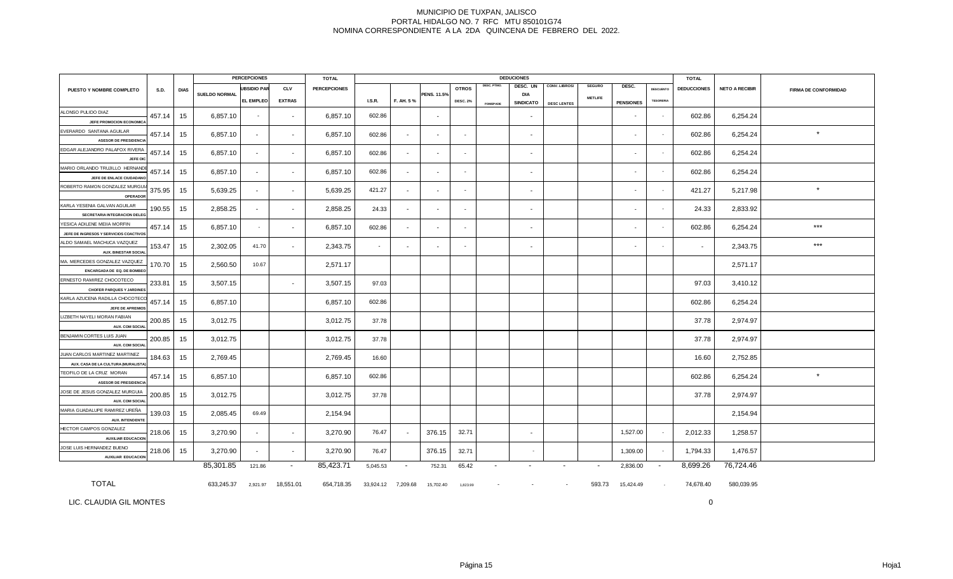|                                                                       |             |             | <b>PERCEPCIONES</b>  |                    |                          | <b>TOTAL</b>        |                    |           |                |                          |                 | <b>DEDUCIONES</b>        |                    |                          |                          |                          | <b>TOTAL</b>       |                       |                             |
|-----------------------------------------------------------------------|-------------|-------------|----------------------|--------------------|--------------------------|---------------------|--------------------|-----------|----------------|--------------------------|-----------------|--------------------------|--------------------|--------------------------|--------------------------|--------------------------|--------------------|-----------------------|-----------------------------|
| PUESTO Y NOMBRE COMPLETO                                              | <b>S.D.</b> | <b>DIAS</b> |                      | <b>UBSIDIO PAR</b> | <b>CLV</b>               | <b>PERCEPCIONES</b> |                    |           |                | <b>OTROS</b>             | DESC. PTMO.     | DESC. UN                 | CONV. LIBROS/      | <b>SEGURO</b>            | DESC.                    | <b>DESCUENTO</b>         | <b>DEDUCCIONES</b> | <b>NETO A RECIBIR</b> | <b>FIRMA DE CONFORMIDAD</b> |
|                                                                       |             |             | <b>SUELDO NORMAL</b> | <b>EL EMPLEO</b>   | <b>EXTRAS</b>            |                     | LS.R.              | F. AH. 5% | PENS. 11.5%    | <b>DESC. 2%</b>          | <b>FOMEPADE</b> | DIA<br><b>SINDICATO</b>  | <b>DESC LENTES</b> | <b>METLIFE</b>           | <b>PENSIONES</b>         | <b>TESORERIA</b>         |                    |                       |                             |
| ALONSO PULIDO DIAZ<br>JEFE PROMOCION ECONOMIC                         | 457.14      | 15          | 6,857.10             | $\sim$             | $\sim$                   | 6,857.10            | 602.86             |           |                |                          |                 | $\sim$                   |                    |                          |                          | $\sim$                   | 602.86             | 6,254.24              |                             |
| EVERARDO SANTANA AGUILAR<br><b>ASESOR DE PRESIDENCIA</b>              | 457.14      | 15          | 6,857.10             | $\sim$             | $\overline{\phantom{a}}$ | 6,857.10            | 602.86             |           |                |                          |                 | $\sim$                   |                    |                          |                          |                          | 602.86             | 6,254.24              | $\star$                     |
| EDGAR ALEJANDRO PALAFOX RIVERA<br>JEFE OID                            | 457.14      | 15          | 6,857.10             | $\sim$             | $\sim$                   | 6,857.10            | 602.86             | $\sim$    | $\overline{a}$ | $\overline{\phantom{a}}$ |                 | $\sim$                   |                    |                          | $\sim$                   | $\sim$                   | 602.86             | 6,254.24              |                             |
| MARIO ORLANDO TRUJILLO HERNAND                                        | 457.14      | 15          | 6,857.10             | $\sim$             | $\sim$                   | 6,857.10            | 602.86             |           |                | $\sim$                   |                 | $\overline{\phantom{a}}$ |                    |                          | $\overline{\phantom{a}}$ | $\overline{\phantom{a}}$ | 602.86             | 6,254.24              |                             |
| JEFE DE ENLACE CIUDADANO<br>ROBERTO RAMON GONZALEZ MURGU              | 375.95      | 15          | 5,639.25             | $\sim$             | $\overline{\phantom{a}}$ | 5,639.25            | 421.27             | $\sim$    |                | $\sim$                   |                 | $\sim$                   |                    |                          | $\overline{\phantom{a}}$ |                          | 421.27             | 5,217.98              | $\star$                     |
| OPERADO<br>KARLA YESENIA GALVAN AGUILAR                               | 190.55      | 15          | 2,858.25             | $\sim$             | $\sim$                   | 2,858.25            | 24.33              | $\sim$    |                | $\sim$                   |                 | $\sim$                   |                    |                          | $\blacksquare$           | $\sim$                   | 24.33              | 2,833.92              |                             |
| SECRETARIA INTEGRACION DELEO<br>YESICA ADILENE MEIIA MORFIN           | 457.14      | 15          | 6,857.10             | $\sim$             | $\overline{\phantom{a}}$ | 6,857.10            | 602.86             |           |                | $\overline{\phantom{a}}$ |                 | $\sim$                   |                    |                          | $\overline{\phantom{a}}$ |                          | 602.86             | 6,254.24              | $***$                       |
| JEFE DE INGRESOS Y SERVICIOS COACTIVOS<br>ALDO SAMAEL MACHUCA VAZQUEZ | 53.47       | 15          | 2,302.05             | 41.70              | $\overline{\phantom{a}}$ | 2,343.75            | $\sim$             |           |                | $\overline{\phantom{a}}$ |                 | $\sim$                   |                    |                          | $\overline{\phantom{a}}$ | $\sim$                   | $\sim$             | 2,343.75              | $***$                       |
| <b>AUX. BINESTAR SOCIA</b><br>MA. MERCEDES GONZALEZ VAZQUEZ           | 170.70      | 15          | 2,560.50             | 10.67              |                          | 2,571.17            |                    |           |                |                          |                 |                          |                    |                          |                          |                          |                    | 2,571.17              |                             |
| ENCARGADA DE EQ. DE BOMBEO<br>ERNESTO RAMIREZ CHOCOTECO               | 233.81      | 15          | 3,507.15             |                    |                          | 3,507.15            | 97.03              |           |                |                          |                 |                          |                    |                          |                          |                          | 97.03              | 3,410.12              |                             |
| <b>CHOFER PARQUES Y JARDINES</b><br>KARLA AZUCENA RADILLA CHOCOTEC    |             |             |                      |                    |                          |                     |                    |           |                |                          |                 |                          |                    |                          |                          |                          |                    |                       |                             |
| JEFE DE APREMIO<br>LIZBETH NAYELI MORAN FABIAN                        | 457.14      | 15          | 6,857.10             |                    |                          | 6,857.10            | 602.86             |           |                |                          |                 |                          |                    |                          |                          |                          | 602.86             | 6,254.24              |                             |
| <b>AUX. COM SOCIA</b>                                                 | 200.85      | 15          | 3,012.75             |                    |                          | 3,012.75            | 37.78              |           |                |                          |                 |                          |                    |                          |                          |                          | 37.78              | 2,974.97              |                             |
| BENJAMIN CORTES LUIS JUAN<br>AUX. COM SOCIA                           | 200.85      | 15          | 3,012.75             |                    |                          | 3,012.75            | 37.78              |           |                |                          |                 |                          |                    |                          |                          |                          | 37.78              | 2,974.97              |                             |
| JUAN CARLOS MARTINEZ MARTINEZ<br>AUX. CASA DE LA CULTURA (MURALISTA   | 184.63      | 15          | 2,769.45             |                    |                          | 2,769.45            | 16.60              |           |                |                          |                 |                          |                    |                          |                          |                          | 16.60              | 2,752.85              |                             |
| TEOFILO DE LA CRUZ MORAN<br><b>ASESOR DE PRESIDENCIA</b>              | 457.14      | 15          | 6,857.10             |                    |                          | 6,857.10            | 602.86             |           |                |                          |                 |                          |                    |                          |                          |                          | 602.86             | 6,254.24              | $\star$                     |
| JOSE DE JESUS GONZALEZ MURGUIA<br>AUX. COM SOCIA                      | 200.85      | 15          | 3,012.75             |                    |                          | 3,012.75            | 37.78              |           |                |                          |                 |                          |                    |                          |                          |                          | 37.78              | 2,974.97              |                             |
| MARIA GUADALUPE RAMIREZ UREÑA<br><b>AUX. INTENDENTE</b>               | 139.03      | 15          | 2,085.45             | 69.49              |                          | 2,154.94            |                    |           |                |                          |                 |                          |                    |                          |                          |                          |                    | 2,154.94              |                             |
| HECTOR CAMPOS GONZALEZ<br><b>AUXILIAR EDUCACION</b>                   | 218.06      | 15          | 3,270.90             | $\sim$             | $\sim$                   | 3,270.90            | 76.47              |           | 376.15         | 32.71                    |                 | $\overline{\phantom{a}}$ |                    |                          | 1,527.00                 | $\sim$                   | 2,012.33           | 1,258.57              |                             |
| JOSE LUIS HERNANDEZ BUENO<br><b>AUXILIAR EDUCACION</b>                | 218.06      | 15          | 3,270.90             | $\sim$             | $\sim$                   | 3,270.90            | 76.47              |           | 376.15         | 32.71                    |                 | $\sim$                   |                    |                          | 1,309.00                 | $\sim$                   | 1,794.33           | 1,476.57              |                             |
|                                                                       |             |             | 85,301.85            | 121.86             | $\sim$                   | 85,423.71           | 5,045.53           | $\sim$    | 752.31         | 65.42                    | $\sim$          | $\blacksquare$           | $\blacksquare$     | $\overline{\phantom{a}}$ | 2,836.00                 | $\overline{\phantom{a}}$ | 8,699.26           | 76,724.46             |                             |
| <b>TOTAL</b>                                                          |             |             | 633,245.37           | 2,921.97           | 18,551.01                | 654,718.35          | 33,924.12 7,209.68 |           | 15,702.40      | 1,823.99                 |                 |                          |                    | 593.73                   | 15,424.49                |                          | 74,678.40          | 580,039.95            |                             |

LIC. CLAUDIA GIL MONTES

0